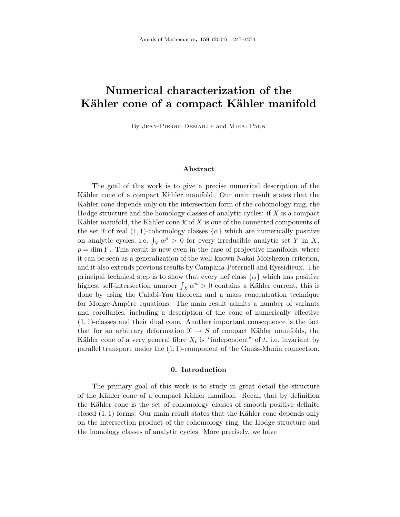# **Numerical characterization of the** Kähler cone of a compact Kähler manifold

By Jean-Pierre Demailly and Mihai Paun

### **Abstract**

The goal of this work is to give a precise numerical description of the Kähler cone of a compact Kähler manifold. Our main result states that the Kähler cone depends only on the intersection form of the cohomology ring, the Hodge structure and the homology classes of analytic cycles: if *X* is a compact Kähler manifold, the Kähler cone  $K$  of  $X$  is one of the connected components of the set P of real  $(1, 1)$ -cohomology classes  $\{\alpha\}$  which are numerically positive on analytic cycles, i.e.  $\int_Y \alpha^p > 0$  for every irreducible analytic set *Y* in *X*,  $p = \dim Y$ . This result is new even in the case of projective manifolds, where it can be seen as a generalization of the well-known Nakai-Moishezon criterion, and it also extends previous results by Campana-Peternell and Eyssidieux. The principal technical step is to show that every nef class  $\{\alpha\}$  which has positive highest self-intersection number  $\int_X \alpha^n > 0$  contains a Kähler current; this is done by using the Calabi-Yau theorem and a mass concentration technique for Monge-Ampère equations. The main result admits a number of variants and corollaries, including a description of the cone of numerically effective (1*,* 1)-classes and their dual cone. Another important consequence is the fact that for an arbitrary deformation  $X \rightarrow S$  of compact Kähler manifolds, the Kähler cone of a very general fibre  $X_t$  is "independent" of  $t$ , i.e. invariant by parallel transport under the (1*,* 1)-component of the Gauss-Manin connection.

### **0. Introduction**

The primary goal of this work is to study in great detail the structure of the Kähler cone of a compact Kähler manifold. Recall that by definition the Kähler cone is the set of cohomology classes of smooth positive definite closed  $(1,1)$ -forms. Our main result states that the Kähler cone depends only on the intersection product of the cohomology ring, the Hodge structure and the homology classes of analytic cycles. More precisely, we have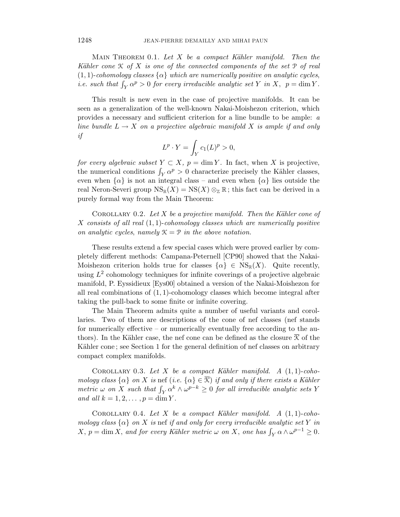MAIN THEOREM 0.1. Let  $X$  be a compact Kähler manifold. Then the Kähler cone  $K$  of  $X$  is one of the connected components of the set  $\mathcal P$  of real  $(1, 1)$ -cohomology classes  $\{\alpha\}$  which are numerically positive on analytic cycles, *i.e.* such that  $\int_Y \alpha^p > 0$  for every irreducible analytic set *Y* in *X*,  $p = \dim Y$ .

This result is new even in the case of projective manifolds. It can be seen as a generalization of the well-known Nakai-Moishezon criterion, which provides a necessary and sufficient criterion for a line bundle to be ample: a line bundle  $L \to X$  on a projective algebraic manifold X is ample if and only if

$$
L^p \cdot Y = \int_Y c_1(L)^p > 0,
$$

for every algebraic subset  $Y \subset X$ ,  $p = \dim Y$ . In fact, when X is projective, the numerical conditions  $\int_Y \alpha^p > 0$  characterize precisely the Kähler classes, even when  $\{\alpha\}$  is not an integral class – and even when  $\{\alpha\}$  lies outside the real Neron-Severi group  $\text{NS}_{\mathbb{R}}(X) = \text{NS}(X) \otimes_{\mathbb{Z}} \mathbb{R}$ ; this fact can be derived in a purely formal way from the Main Theorem:

COROLLARY 0.2. Let  $X$  be a projective manifold. Then the Kähler cone of *X* consists of all real (1*,* 1)-cohomology classes which are numerically positive on analytic cycles, namely  $\mathcal{K} = \mathcal{P}$  in the above notation.

These results extend a few special cases which were proved earlier by completely different methods: Campana-Peternell [CP90] showed that the Nakai-Moishezon criterion holds true for classes  $\{\alpha\} \in \text{NS}_{\mathbb{R}}(X)$ . Quite recently, using  $L^2$  cohomology techniques for infinite coverings of a projective algebraic manifold, P. Eyssidieux [Eys00] obtained a version of the Nakai-Moishezon for all real combinations of (1*,* 1)-cohomology classes which become integral after taking the pull-back to some finite or infinite covering.

The Main Theorem admits quite a number of useful variants and corollaries. Two of them are descriptions of the cone of nef classes (nef stands for numerically effective – or numerically eventually free according to the authors). In the Kähler case, the nef cone can be defined as the closure  $\overline{\mathcal{K}}$  of the Kähler cone; see Section 1 for the general definition of nef classes on arbitrary compact complex manifolds.

COROLLARY 0.3. Let  $X$  be a compact Kähler manifold. A  $(1, 1)$ -cohomology class  $\{\alpha\}$  on *X* is nef (i.e.  $\{\alpha\} \in \overline{K}$ ) if and only if there exists a Kähler  $metric \omega$  on *X* such that  $\int_Y \alpha^k \wedge \omega^{p-k} \geq 0$  for all irreducible analytic sets *Y* and all  $k = 1, 2, ..., p = \dim Y$ .

COROLLARY 0.4. Let  $X$  be a compact Kähler manifold. A  $(1, 1)$ -cohomology class  $\{\alpha\}$  on *X* is nef if and only for every irreducible analytic set *Y* in  $X, p = \dim X$ , and for every Kähler metric  $\omega$  on  $X$ , one has  $\int_Y \alpha \wedge \omega^{p-1} \geq 0$ .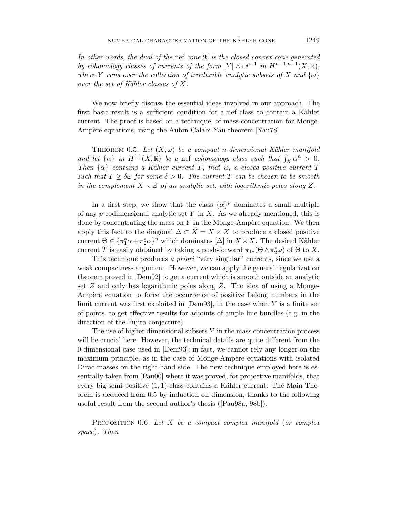In other words, the dual of the nef cone  $\overline{\mathcal{K}}$  is the closed convex cone generated by cohomology classes of currents of the form  $[Y] \wedge \omega^{p-1}$  in  $H^{n-1,n-1}(X,\mathbb{R}),$ where *Y* runs over the collection of irreducible analytic subsets of *X* and  $\{\omega\}$ over the set of Kähler classes of  $X$ .

We now briefly discuss the essential ideas involved in our approach. The first basic result is a sufficient condition for a nef class to contain a Kähler current. The proof is based on a technique, of mass concentration for Monge-Ampère equations, using the Aubin-Calabi-Yau theorem [Yau78].

THEOREM 0.5. Let  $(X, \omega)$  be a compact *n*-dimensional Kähler manifold and let  $\{\alpha\}$  in  $H^{1,1}(X,\mathbb{R})$  be a nef cohomology class such that  $\int_X \alpha^n > 0$ . Then  $\{\alpha\}$  contains a Kähler current *T*, that is, a closed positive current *T* such that  $T \geq \delta \omega$  for some  $\delta > 0$ . The current *T* can be chosen to be smooth in the complement  $X \setminus Z$  of an analytic set, with logarithmic poles along Z.

In a first step, we show that the class  $\{\alpha\}^p$  dominates a small multiple of any *p*-codimensional analytic set *Y* in *X*. As we already mentioned, this is done by concentrating the mass on  $Y$  in the Monge-Ampère equation. We then apply this fact to the diagonal  $\Delta \subset \overline{X} = X \times X$  to produce a closed positive current  $\Theta \in {\{\pi_1^*\alpha + \pi_2^*\alpha\}}^n$  which dominates  $[\Delta]$  in  $X \times X$ . The desired Kähler current *T* is easily obtained by taking a push-forward  $\pi_{1*}(\Theta \wedge \pi_2^* \omega)$  of  $\Theta$  to *X*.

This technique produces a *priori* "very singular" currents, since we use a weak compactness argument. However, we can apply the general regularization theorem proved in [Dem92] to get a current which is smooth outside an analytic set *Z* and only has logarithmic poles along *Z*. The idea of using a Monge-Ampère equation to force the occurrence of positive Lelong numbers in the limit current was first exploited in [Dem93], in the case when *Y* is a finite set of points, to get effective results for adjoints of ample line bundles (e.g. in the direction of the Fujita conjecture).

The use of higher dimensional subsets *Y* in the mass concentration process will be crucial here. However, the technical details are quite different from the 0-dimensional case used in [Dem93]; in fact, we cannot rely any longer on the maximum principle, as in the case of Monge-Ampère equations with isolated Dirac masses on the right-hand side. The new technique employed here is essentially taken from [Pau00] where it was proved, for projective manifolds, that every big semi-positive  $(1, 1)$ -class contains a Kähler current. The Main Theorem is deduced from 0.5 by induction on dimension, thanks to the following useful result from the second author's thesis ([Pau98a, 98b]).

PROPOSITION 0.6. Let *X* be a compact complex manifold (or complex space). Then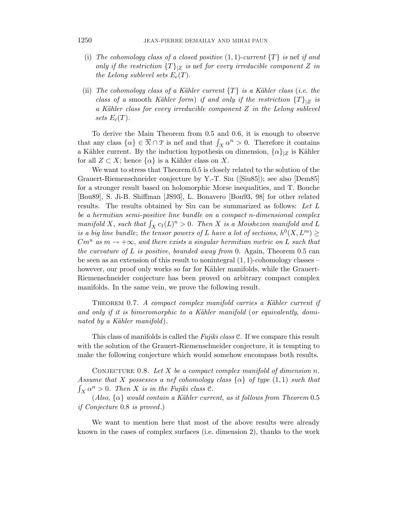- (i) The cohomology class of a closed positive  $(1,1)$ -current  $\{T\}$  is nef if and only if the restriction  ${T}|Z|$  is nef for every irreducible component Z in the Lelong sublevel sets  $E_c(T)$ .
- (ii) The cohomology class of a Kähler current  ${T}$  is a Kähler class (i.e. the class of a smooth Kähler form) if and only if the restriction  ${T}|z|$  is a Kähler class for every irreducible component  $Z$  in the Lelong sublevel sets  $E_c(T)$ .

To derive the Main Theorem from 0.5 and 0.6, it is enough to observe that any class  $\{\alpha\} \in \overline{K} \cap \mathcal{P}$  is nef and that  $\int_X \alpha^n > 0$ . Therefore it contains a Kähler current. By the induction hypothesis on dimension,  $\{\alpha\}_{|Z}$  is Kähler for all  $Z \subset X$ ; hence  $\{\alpha\}$  is a Kähler class on X.

We want to stress that Theorem 0.5 is closely related to the solution of the Grauert-Riemenschneider conjecture by Y.-T. Siu ([Siu85]); see also [Dem85] for a stronger result based on holomorphic Morse inequalities, and T. Bouche [Bou89], S. Ji-B. Shiffman [JS93], L. Bonavero [Bon93, 98] for other related results. The results obtained by Siu can be summarized as follows: Let *L* be a hermitian semi-positive line bundle on a compact *n*-dimensional complex manifold *X*, such that  $\int_X c_1(L)^n > 0$ . Then *X* is a Moishezon manifold and *L* is a big line bundle; the tensor powers of *L* have a lot of sections,  $h^0(X, L^m) \ge$  $Cm^n$  as  $m \to +\infty$ , and there exists a singular hermitian metric on *L* such that the curvature of *L* is positive, bounded away from 0. Again, Theorem 0.5 can be seen as an extension of this result to nonintegral (1*,* 1)-cohomology classes – however, our proof only works so far for Kähler manifolds, while the Grauert-Riemenschneider conjecture has been proved on arbitrary compact complex manifolds. In the same vein, we prove the following result.

THEOREM 0.7. A compact complex manifold carries a Kähler current if and only if it is bimeromorphic to a Kähler manifold (or equivalently, dominated by a Kähler manifold.

This class of manifolds is called the *Fujiki class*  $\mathcal{C}$ . If we compare this result with the solution of the Grauert-Riemenschneider conjecture, it is tempting to make the following conjecture which would somehow encompass both results.

CONJECTURE 0.8. Let  $X$  be a compact complex manifold of dimension  $n$ . Assume that *X* possesses a nef cohomology class  $\{\alpha\}$  of type  $(1, 1)$  such that  $\int_X \alpha^n > 0$ . Then *X* is in the Fujiki class  $\mathcal{C}$ .

 $(A\& a\}\& would contain a Kähler current, as it follows from Theorem 0.5$ if Conjecture 0.8 is proved.)

We want to mention here that most of the above results were already known in the cases of complex surfaces (i.e. dimension 2), thanks to the work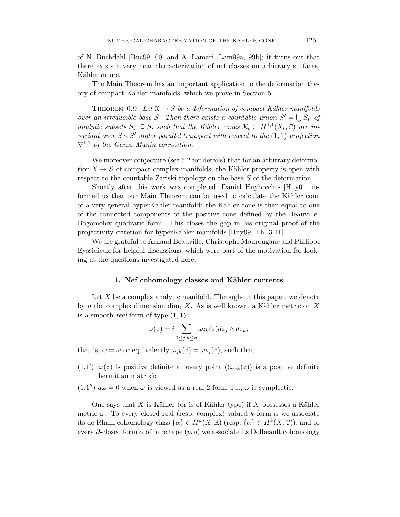of N. Buchdahl [Buc99, 00] and A. Lamari [Lam99a, 99b]; it turns out that there exists a very neat characterization of nef classes on arbitrary surfaces, Kähler or not.

The Main Theorem has an important application to the deformation theory of compact K¨ahler manifolds, which we prove in Section 5.

THEOREM 0.9. Let  $X \to S$  be a deformation of compact Kähler manifolds over an irreducible base *S*. Then there exists a countable union  $S' = \bigcup S_{\nu}$  of analytic subsets  $S_{\nu} \subsetneq S$ , such that the Kähler cones  $\mathcal{K}_t \subset H^{1,1}(X_t, \mathbb{C})$  are invariant over  $S \setminus S'$  under parallel transport with respect to the  $(1, 1)$ -projection  $\nabla^{1,1}$  of the Gauss-Manin connection.

We moreover conjecture (see 5.2 for details) that for an arbitrary deformation  $X \to S$  of compact complex manifolds, the Kähler property is open with respect to the countable Zariski topology on the base *S* of the deformation.

Shortly after this work was completed, Daniel Huybrechts [Huy01] informed us that our Main Theorem can be used to calculate the Kähler cone of a very general hyperKähler manifold: the Kähler cone is then equal to one of the connected components of the positive cone defined by the Beauville-Bogomolov quadratic form. This closes the gap in his original proof of the projectivity criterion for hyperKähler manifolds [Huy99, Th. 3.11].

We are grateful to Arnaud Beauville, Christophe Mourougane and Philippe Eyssidieux for helpful discussions, which were part of the motivation for looking at the questions investigated here.

### 1. Nef cohomology classes and Kähler currents

Let X be a complex analytic manifold. Throughout this paper, we denote by *n* the complex dimension dim<sub>C</sub> X. As is well known, a Kähler metric on X is a smooth real form of type (1*,* 1):

$$
\omega(z) = i \sum_{1 \le j,k \le n} \omega_{jk}(z) dz_j \wedge d\overline{z}_k;
$$

that is,  $\overline{\omega} = \omega$  or equivalently  $\overline{\omega_{jk}(z)} = \omega_{kj}(z)$ , such that

- (1.1<sup>'</sup>)  $\omega(z)$  is positive definite at every point  $((\omega_{jk}(z))$  is a positive definite hermitian matrix);
- $(1.1'')$   $d\omega = 0$  when  $\omega$  is viewed as a real 2-form; i.e.,  $\omega$  is symplectic.

One says that  $X$  is Kähler (or is of Kähler type) if  $X$  possesses a Kähler metric  $\omega$ . To every closed real (resp. complex) valued *k*-form  $\alpha$  we associate its de Rham cohomology class  $\{\alpha\} \in H^k(X,\mathbb{R})$  (resp.  $\{\alpha\} \in H^k(X,\mathbb{C})$ ), and to every  $\overline{\partial}$ -closed form  $\alpha$  of pure type  $(p, q)$  we associate its Dolbeault cohomology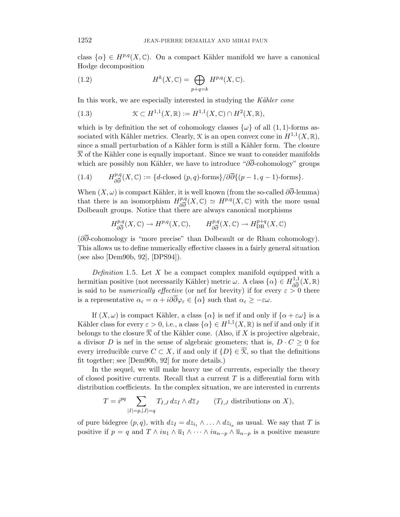class  $\{\alpha\} \in H^{p,q}(X,\mathbb{C})$ . On a compact Kähler manifold we have a canonical Hodge decomposition

(1.2) 
$$
H^{k}(X,\mathbb{C}) = \bigoplus_{p+q=k} H^{p,q}(X,\mathbb{C}).
$$

In this work, we are especially interested in studying the Kähler cone

(1.3) 
$$
\mathcal{K} \subset H^{1,1}(X,\mathbb{R}) := H^{1,1}(X,\mathbb{C}) \cap H^2(X,\mathbb{R}),
$$

which is by definition the set of cohomology classes  $\{\omega\}$  of all  $(1, 1)$ -forms associated with Kähler metrics. Clearly,  $\mathcal K$  is an open convex cone in  $H^{1,1}(X,\mathbb R)$ , since a small perturbation of a Kähler form is still a Kähler form. The closure  $\overline{\mathcal{K}}$  of the Kähler cone is equally important. Since we want to consider manifolds which are possibly non Kähler, we have to introduce " $\partial \partial$ -cohomology" groups

(1.4) 
$$
H^{p,q}_{\partial \overline{\partial}}(X,\mathbb{C}):=\{d\text{-closed }(p,q)\text{-forms}\}/\partial \overline{\partial}\{(p-1,q-1)\text{-forms}\}.
$$

When  $(X, \omega)$  is compact Kähler, it is well known (from the so-called  $\partial \overline{\partial}$ -lemma) that there is an isomorphism  $H^{p,q}_{\partial \overline{\partial}}(X,\mathbb{C}) \simeq H^{p,q}(X,\mathbb{C})$  with the more usual Dolbeault groups. Notice that there are always canonical morphisms

$$
H^{p,q}_{\partial \overline{\partial}}(X,\mathbb{C}) \to H^{p,q}(X,\mathbb{C}), \qquad H^{p,q}_{\partial \overline{\partial}}(X,\mathbb{C}) \to H^{p+q}_{\text{DR}}(X,\mathbb{C})
$$

(*∂∂*-cohomology is "more precise" than Dolbeault or de Rham cohomology). This allows us to define numerically effective classes in a fairly general situation (see also [Dem90b, 92], [DPS94]).

Definition 1.5. Let *X* be a compact complex manifold equipped with a hermitian positive (not necessarily Kähler) metric  $\omega$ . A class  $\{\alpha\} \in H_{\partial \overline{\partial}}^{1,1}(X,\mathbb{R})$ is said to be *numerically effective* (or nef for brevity) if for every  $\varepsilon > 0$  there is a representative  $\alpha_{\varepsilon} = \alpha + i\partial\overline{\partial}\varphi_{\varepsilon} \in {\alpha}$  such that  $\alpha_{\varepsilon} \geq -\varepsilon\omega$ .

If  $(X, \omega)$  is compact Kähler, a class  $\{\alpha\}$  is nef if and only if  $\{\alpha + \varepsilon\omega\}$  is a Kähler class for every  $\varepsilon > 0$ , i.e., a class  $\{\alpha\} \in H^{1,1}(X,\mathbb{R})$  is nef if and only if it belongs to the closure  $\overline{X}$  of the Kähler cone. (Also, if X is projective algebraic, a divisor *D* is nef in the sense of algebraic geometers; that is,  $D \cdot C \geq 0$  for every irreducible curve  $C \subset X$ , if and only if  $\{D\} \in \overline{\mathcal{K}}$ , so that the definitions fit together; see [Dem90b, 92] for more details.)

In the sequel, we will make heavy use of currents, especially the theory of closed positive currents. Recall that a current *T* is a differential form with distribution coefficients. In the complex situation, we are interested in currents

$$
T = i^{pq} \sum_{|I|=p,|J|=q} T_{I,J} \, dz_I \wedge d\overline{z}_J \qquad (T_{I,J} \text{ distributions on } X),
$$

of pure bidegree  $(p, q)$ , with  $dz_I = dz_{i_1} \wedge \ldots \wedge dz_{i_n}$  as usual. We say that *T* is positive if  $p = q$  and  $T \wedge iu_1 \wedge \overline{u}_1 \wedge \cdots \wedge iu_{n-p} \wedge \overline{u}_{n-p}$  is a positive measure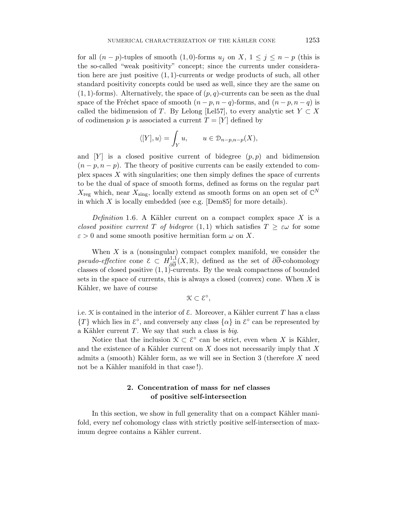for all  $(n - p)$ -tuples of smooth  $(1, 0)$ -forms  $u_j$  on  $X$ ,  $1 \leq j \leq n - p$  (this is the so-called "weak positivity" concept; since the currents under consideration here are just positive (1*,* 1)-currents or wedge products of such, all other standard positivity concepts could be used as well, since they are the same on  $(1,1)$ -forms). Alternatively, the space of  $(p,q)$ -currents can be seen as the dual space of the Fréchet space of smooth  $(n - p, n - q)$ -forms, and  $(n - p, n - q)$  is called the bidimension of *T*. By Lelong [Lel57], to every analytic set  $Y \subset X$ of codimension  $p$  is associated a current  $T = [Y]$  defined by

$$
\langle [Y], u \rangle = \int_Y u, \qquad u \in \mathcal{D}_{n-p,n-p}(X),
$$

and  $[Y]$  is a closed positive current of bidegree  $(p, p)$  and bidimension  $(n-p, n-p)$ . The theory of positive currents can be easily extended to complex spaces *X* with singularities; one then simply defines the space of currents to be the dual of space of smooth forms, defined as forms on the regular part  $X_{\text{reg}}$  which, near  $X_{\text{sing}}$ , locally extend as smooth forms on an open set of  $\mathbb{C}^N$ in which *X* is locally embedded (see e.g. [Dem85] for more details).

Definition 1.6. A Kähler current on a compact complex space  $X$  is a closed positive current *T* of bidegree  $(1,1)$  which satisfies  $T > \varepsilon \omega$  for some  $\varepsilon > 0$  and some smooth positive hermitian form  $\omega$  on X.

When *X* is a (nonsingular) compact complex manifold, we consider the pseudo-effective cone  $\mathcal{E} \subset H^{1,1}_{\partial \overline{\partial}}(X,\mathbb{R})$ , defined as the set of  $\partial \overline{\partial}$ -cohomology classes of closed positive (1*,* 1)-currents. By the weak compactness of bounded sets in the space of currents, this is always a closed (convex) cone. When *X* is Kähler, we have of course

K ⊂ E◦*,*

i.e.  $K$  is contained in the interior of  $\mathcal E$ . Moreover, a Kähler current  $T$  has a class  ${T}$  which lies in  $\mathcal{E}^{\circ}$ , and conversely any class  $\{\alpha\}$  in  $\mathcal{E}^{\circ}$  can be represented by a Kähler current  $T$ . We say that such a class is big.

Notice that the inclusion  $\mathcal{K} \subset \mathcal{E}^{\circ}$  can be strict, even when X is Kähler, and the existence of a Kähler current on *X* does not necessarily imply that X admits a (smooth) K¨ahler form, as we will see in Section 3 (therefore *X* need not be a Kähler manifold in that case!).

## **2. Concentration of mass for nef classes of positive self-intersection**

In this section, we show in full generality that on a compact Kähler manifold, every nef cohomology class with strictly positive self-intersection of maximum degree contains a Kähler current.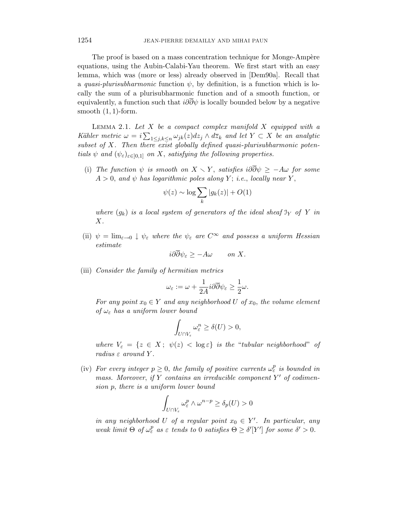The proof is based on a mass concentration technique for Monge-Ampère equations, using the Aubin-Calabi-Yau theorem. We first start with an easy lemma, which was (more or less) already observed in [Dem90a]. Recall that a quasi-plurisubharmonic function  $\psi$ , by definition, is a function which is locally the sum of a plurisubharmonic function and of a smooth function, or equivalently, a function such that  $i\partial\overline{\partial}\psi$  is locally bounded below by a negative smooth (1*,* 1)-form.

Lemma 2.1. Let *X* be a compact complex manifold *X* equipped with a Kähler metric  $\omega = i \sum_{1 \leq j,k \leq n} \omega_{jk}(z) dz_j \wedge d\overline{z}_k$  and let  $Y \subset X$  be an analytic subset of *X*. Then there exist globally defined quasi-plurisubharmonic potentials  $\psi$  and  $(\psi_{\varepsilon})_{\varepsilon \in [0,1]}$  on *X*, satisfying the following properties.

(i) The function  $\psi$  is smooth on  $X \setminus Y$ , satisfies  $i\partial \overline{\partial} \psi \geq -A\omega$  for some  $A > 0$ , and  $\psi$  has logarithmic poles along *Y*; i.e., locally near *Y*,

$$
\psi(z) \sim \log \sum_{k} |g_k(z)| + O(1)
$$

where  $(q_k)$  is a local system of generators of the ideal sheaf  $\mathfrak{I}_Y$  of Y in *X*.

(ii)  $\psi = \lim_{\varepsilon \to 0} \psi_{\varepsilon}$  where the  $\psi_{\varepsilon}$  are  $C^{\infty}$  and possess a uniform Hessian estimate

$$
i\partial\partial\psi_{\varepsilon} \ge -A\omega \qquad on \ X.
$$

(iii) Consider the family of hermitian metrics

$$
\omega_{\varepsilon} := \omega + \frac{1}{2A} i \partial \overline{\partial} \psi_{\varepsilon} \ge \frac{1}{2} \omega.
$$

For any point  $x_0 \in Y$  and any neighborhood U of  $x_0$ , the volume element of  $\omega_{\varepsilon}$  has a uniform lower bound

$$
\int_{U \cap V_{\varepsilon}} \omega_{\varepsilon}^n \ge \delta(U) > 0,
$$

where  $V_{\varepsilon} = \{z \in X; \psi(z) < \log \varepsilon\}$  is the "tubular neighborhood" of radius *ε* around *Y* .

(iv) For every integer  $p \geq 0$ , the family of positive currents  $\omega_{\varepsilon}^p$  is bounded in mass. Moreover, if *Y* contains an irreducible component *Y'* of codimension *p*, there is a uniform lower bound

$$
\int_{U \cap V_{\varepsilon}} \omega_{\varepsilon}^p \wedge \omega^{n-p} \ge \delta_p(U) > 0
$$

in any neighborhood *U* of a regular point  $x_0 \in Y'$ . In particular, any weak limit  $\Theta$  of  $\omega_{\varepsilon}^p$  as  $\varepsilon$  tends to 0 satisfies  $\Theta \geq \delta'[Y']$  for some  $\delta' > 0$ .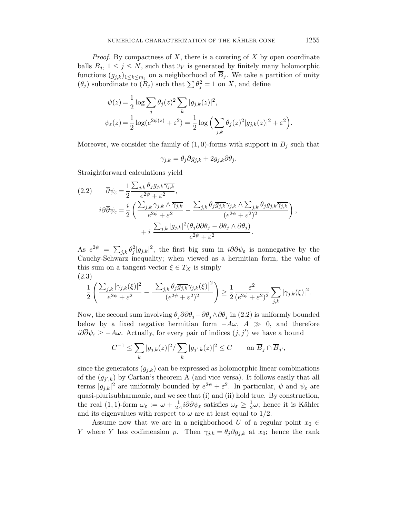Proof. By compactness of *X*, there is a covering of *X* by open coordinate balls  $B_j$ ,  $1 \leq j \leq N$ , such that  $\mathcal{I}_Y$  is generated by finitely many holomorphic functions  $(g_{j,k})_{1\leq k\leq m_j}$  on a neighborhood of  $\overline{B}_j$ . We take a partition of unity  $(\theta_j)$  subordinate to  $(B_j)$  such that  $\sum \theta_j^2 = 1$  on *X*, and define

$$
\psi(z) = \frac{1}{2} \log \sum_{j} \theta_j(z)^2 \sum_{k} |g_{j,k}(z)|^2,
$$
  

$$
\psi_{\varepsilon}(z) = \frac{1}{2} \log(e^{2\psi(z)} + \varepsilon^2) = \frac{1}{2} \log \left( \sum_{j,k} \theta_j(z)^2 |g_{j,k}(z)|^2 + \varepsilon^2 \right).
$$

Moreover, we consider the family of  $(1,0)$ -forms with support in  $B_j$  such that

$$
\gamma_{j,k} = \theta_j \partial g_{j,k} + 2g_{j,k} \partial \theta_j.
$$

Straightforward calculations yield

$$
(2.2) \qquad \overline{\partial}\psi_{\varepsilon} = \frac{1}{2} \frac{\sum_{j,k} \theta_{j} g_{j,k} \overline{\gamma_{j,k}}}{e^{2\psi} + \varepsilon^{2}},
$$
\n
$$
i\partial\overline{\partial}\psi_{\varepsilon} = \frac{i}{2} \left( \frac{\sum_{j,k} \gamma_{j,k} \wedge \overline{\gamma_{j,k}}}{e^{2\psi} + \varepsilon^{2}} - \frac{\sum_{j,k} \theta_{j} \overline{g_{j,k}} \gamma_{j,k} \wedge \sum_{j,k} \theta_{j} g_{j,k} \overline{\gamma_{j,k}}}{(e^{2\psi} + \varepsilon^{2})^{2}} \right),
$$
\n
$$
+ i \frac{\sum_{j,k} |g_{j,k}|^{2} (\theta_{j} \partial\overline{\partial} \theta_{j} - \partial \theta_{j} \wedge \overline{\partial} \theta_{j})}{e^{2\psi} + \varepsilon^{2}}.
$$

As  $e^{2\psi} = \sum_{j,k} \theta_j^2 |g_{j,k}|^2$ , the first big sum in  $i\partial \overline{\partial} \psi_{\varepsilon}$  is nonnegative by the Cauchy-Schwarz inequality; when viewed as a hermitian form, the value of this sum on a tangent vector  $\xi \in T_X$  is simply (2*.*3)

$$
\frac{1}{2}\left(\frac{\sum_{j,k}|\gamma_{j,k}(\xi)|^2}{e^{2\psi}+\varepsilon^2}-\frac{\left|\sum_{j,k}\theta_j\overline{g_{j,k}}\gamma_{j,k}(\xi)\right|^2}{(e^{2\psi}+\varepsilon^2)^2}\right)\geq \frac{1}{2}\frac{\varepsilon^2}{(e^{2\psi}+\varepsilon^2)^2}\sum_{j,k}|\gamma_{j,k}(\xi)|^2.
$$

Now, the second sum involving  $\theta_j \partial \overline{\partial} \theta_j - \partial \theta_j \wedge \overline{\partial} \theta_j$  in (2.2) is uniformly bounded below by a fixed negative hermitian form  $-A\omega$ ,  $A \gg 0$ , and therefore  $i\partial\partial\psi_{\varepsilon} \geq -A\omega$ . Actually, for every pair of indices  $(j, j')$  we have a bound

$$
C^{-1}\leq \sum_k |g_{j,k}(z)|^2/\sum_k |g_{j',k}(z)|^2\leq C\qquad\text{on $\overline{B}_j\cap\overline{B}_{j'}$,}
$$

since the generators  $(g_{j,k})$  can be expressed as holomorphic linear combinations of the  $(g_{j',k})$  by Cartan's theorem A (and vice versa). It follows easily that all terms  $|g_{j,k}|^2$  are uniformly bounded by  $e^{2\psi} + \varepsilon^2$ . In particular,  $\psi$  and  $\psi_{\varepsilon}$  are quasi-plurisubharmonic, and we see that (i) and (ii) hold true. By construction, the real (1, 1)-form  $\omega_{\varepsilon} := \omega + \frac{1}{2A} i \partial \overline{\partial} \psi_{\varepsilon}$  satisfies  $\omega_{\varepsilon} \geq \frac{1}{2} \omega$ ; hence it is Kähler and its eigenvalues with respect to  $\omega$  are at least equal to 1/2.

Assume now that we are in a neighborhood *U* of a regular point  $x_0 \in$ *Y* where *Y* has codimension *p*. Then  $\gamma_{j,k} = \theta_j \partial g_{j,k}$  at  $x_0$ ; hence the rank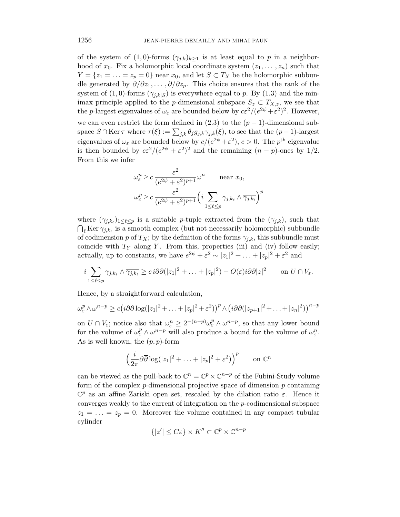of the system of  $(1,0)$ -forms  $(\gamma_{j,k})_{k\geq 1}$  is at least equal to p in a neighborhood of  $x_0$ . Fix a holomorphic local coordinate system  $(z_1, \ldots, z_n)$  such that  $Y = \{z_1 = \ldots = z_p = 0\}$  near  $x_0$ , and let  $S \subset T_X$  be the holomorphic subbundle generated by *∂/∂z*1*, . . . , ∂/∂z*p. This choice ensures that the rank of the system of  $(1,0)$ -forms  $(\gamma_{i,k|S})$  is everywhere equal to p. By  $(1.3)$  and the minimax principle applied to the *p*-dimensional subspace  $S_z \subset T_{X,z}$ , we see that the *p*-largest eigenvalues of  $\omega_{\varepsilon}$  are bounded below by  $c\varepsilon^2/(e^{2\psi} + \varepsilon^2)^2$ . However, we can even restrict the form defined in  $(2.3)$  to the  $(p-1)$ -dimensional subspace  $S \cap \text{Ker } \tau$  where  $\tau(\xi) := \sum_{j,k} \theta_j \overline{g_{j,k}} \gamma_{j,k}(\xi)$ , to see that the  $(p-1)$ -largest eigenvalues of  $\omega_{\varepsilon}$  are bounded below by  $c/(e^{2\psi} + \varepsilon^2)$ ,  $c > 0$ . The *p*<sup>th</sup> eigenvalue is then bounded by  $c\epsilon^2/(e^{2\psi} + \epsilon^2)^2$  and the remaining  $(n - p)$ -ones by 1/2. From this we infer

$$
\omega_{\varepsilon}^{n} \ge c \frac{\varepsilon^{2}}{(e^{2\psi} + \varepsilon^{2})^{p+1}} \omega^{n} \quad \text{near } x_{0},
$$

$$
\omega_{\varepsilon}^{p} \ge c \frac{\varepsilon^{2}}{(e^{2\psi} + \varepsilon^{2})^{p+1}} \left(i \sum_{1 \le \ell \le p} \gamma_{j,k_{\ell}} \wedge \overline{\gamma_{j,k_{\ell}}} \right)^{p}
$$

where  $(\gamma_{j,k_\ell})_{1 \leq \ell \leq p}$  is a suitable *p*-tuple extracted from the  $(\gamma_{j,k})$ , such that  $\bigcap_{\ell}$  Ker  $\gamma_{j,k_{\ell}}$  is a smooth complex (but not necessarily holomorphic) subbundle of codimension *p* of  $T_X$ ; by the definition of the forms  $\gamma_{j,k}$ , this subbundle must coincide with  $T_Y$  along  $Y$ . From this, properties (iii) and (iv) follow easily; actually, up to constants, we have  $e^{2\psi} + \varepsilon^2 \sim |z_1|^2 + \ldots + |z_p|^2 + \varepsilon^2$  and

$$
i \sum_{1 \leq \ell \leq p} \gamma_{j,k_{\ell}} \wedge \overline{\gamma_{j,k_{\ell}}} \geq c \, i \partial \overline{\partial} (|z_1|^2 + \ldots + |z_p|^2) - O(\varepsilon) i \partial \overline{\partial} |z|^2 \qquad \text{on } U \cap V_{\varepsilon}.
$$

Hence, by a straightforward calculation,

$$
\omega_{\varepsilon}^p \wedge \omega^{n-p} \geq c \big( i \partial \overline{\partial} \log(|z_1|^2 + \ldots + |z_p|^2 + \varepsilon^2) \big)^p \wedge \big( i \partial \overline{\partial} (|z_{p+1}|^2 + \ldots + |z_n|^2) \big)^{n-p}
$$

on  $U \cap V_{\varepsilon}$ ; notice also that  $\omega_{\varepsilon}^n \geq 2^{-(n-p)} \omega_{\varepsilon}^p \wedge \omega^{n-p}$ , so that any lower bound for the volume of  $\omega_{\varepsilon}^p \wedge \omega^{n-p}$  will also produce a bound for the volume of  $\omega_{\varepsilon}^n$ . As is well known, the (*p, p*)-form

$$
\left(\frac{i}{2\pi}\partial\overline{\partial}\log(|z_1|^2+\ldots+|z_p|^2+\varepsilon^2)\right)^p \qquad \text{on } \mathbb{C}^n
$$

can be viewed as the pull-back to  $\mathbb{C}^n = \mathbb{C}^p \times \mathbb{C}^{n-p}$  of the Fubini-Study volume form of the complex *p*-dimensional projective space of dimension *p* containing  $\mathbb{C}^p$  as an affine Zariski open set, rescaled by the dilation ratio  $\varepsilon$ . Hence it converges weakly to the current of integration on the *p*-codimensional subspace  $z_1 = \ldots = z_p = 0$ . Moreover the volume contained in any compact tubular cylinder

$$
\{|z'| \le C\varepsilon\} \times K'' \subset \mathbb{C}^p \times \mathbb{C}^{n-p}
$$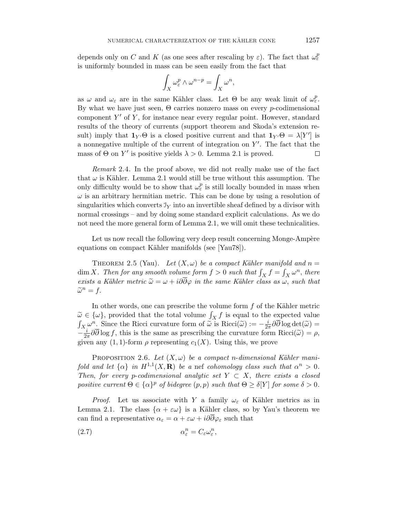depends only on *C* and *K* (as one sees after rescaling by  $\varepsilon$ ). The fact that  $\omega_{\varepsilon}^p$ is uniformly bounded in mass can be seen easily from the fact that

$$
\int_X \omega_{\varepsilon}^p \wedge \omega^{n-p} = \int_X \omega^n,
$$

as  $\omega$  and  $\omega_{\varepsilon}$  are in the same Kähler class. Let  $\Theta$  be any weak limit of  $\omega_{\varepsilon}^p$ . By what we have just seen, Θ carries nonzero mass on every *p*-codimensional component  $Y'$  of  $Y$ , for instance near every regular point. However, standard results of the theory of currents (support theorem and Skoda's extension result) imply that  $\mathbf{1}_{Y} \Theta$  is a closed positive current and that  $\mathbf{1}_{Y} \Theta = \lambda [Y']$  is a nonnegative multiple of the current of integration on Y'. The fact that the mass of  $\Theta$  on  $Y'$  is positive yields  $\lambda > 0$ . Lemma 2.1 is proved. □

Remark 2.4. In the proof above, we did not really make use of the fact that  $\omega$  is Kähler. Lemma 2.1 would still be true without this assumption. The only difficulty would be to show that  $\omega_{\varepsilon}^p$  is still locally bounded in mass when  $\omega$  is an arbitrary hermitian metric. This can be done by using a resolution of singularities which converts  $\mathfrak{I}_Y$  into an invertible sheaf defined by a divisor with normal crossings – and by doing some standard explicit calculations. As we do not need the more general form of Lemma 2.1, we will omit these technicalities.

Let us now recall the following very deep result concerning Monge-Ampère equations on compact Kähler manifolds (see [Yau78]).

THEOREM 2.5 (Yau). Let  $(X, \omega)$  be a compact Kähler manifold and  $n =$  $\dim X$ . Then for any smooth volume form  $f > 0$  such that  $\int_X f = \int_X \omega^n$ , there exists a Kähler metric  $\tilde{\omega} = \omega + i\partial \overline{\partial}\varphi$  in the same Kähler class as  $\omega$ , such that  $\widetilde{\omega}^n = f$ .

In other words, one can prescribe the volume form f of the Kähler metric  $\widetilde{\omega} \in {\{\omega\}}$ , provided that the total volume  $\int_X f$  is equal to the expected value  $\int_{\{\omega\}}^n \operatorname{Sine}$  the Bicci curvature form of  $\widetilde{\omega}$  is  $\operatorname{Ricci}(\widetilde{\omega}) = -\frac{i}{\pi} \partial \overline{\partial} \log \det(\widetilde{\omega})$  $\int_X \omega^n$ . Since the Ricci curvature form of  $\tilde{\omega}$  is Ricci( $\tilde{\omega}$ ) :=  $-\frac{i}{2\pi}\partial\overline{\partial}\log \det(\tilde{\omega}) = -\frac{i}{2\pi}\partial\overline{\partial}\log \det(\tilde{\omega})$  =  $\alpha$  $-\frac{i}{2\pi}\partial\overline{\partial}\log f$ , this is the same as prescribing the curvature form Ricci( $\tilde{\omega}$ ) = *ρ*, given any (1, 1)-form *a* representing  $c_1(Y)$ . Using this we prove given any  $(1, 1)$ -form  $\rho$  representing  $c_1(X)$ . Using this, we prove

PROPOSITION 2.6. Let  $(X, \omega)$  be a compact *n*-dimensional Kähler manifold and let  $\{\alpha\}$  in  $H^{1,1}(X,\mathbf{R})$  be a nef cohomology class such that  $\alpha^n > 0$ . Then, for every *p*-codimensional analytic set  $Y \subset X$ , there exists a closed positive current  $\Theta \in {\{\alpha\}}^p$  of bidegree  $(p, p)$  such that  $\Theta \geq \delta[Y]$  for some  $\delta > 0$ .

*Proof.* Let us associate with *Y* a family  $\omega_{\varepsilon}$  of Kähler metrics as in Lemma 2.1. The class  $\{\alpha + \varepsilon\omega\}$  is a Kähler class, so by Yau's theorem we can find a representative  $\alpha_{\varepsilon} = \alpha + \varepsilon \omega + i\partial \overline{\partial} \varphi_{\varepsilon}$  such that

$$
\alpha_{\varepsilon}^{n} = C_{\varepsilon} \omega_{\varepsilon}^{n},
$$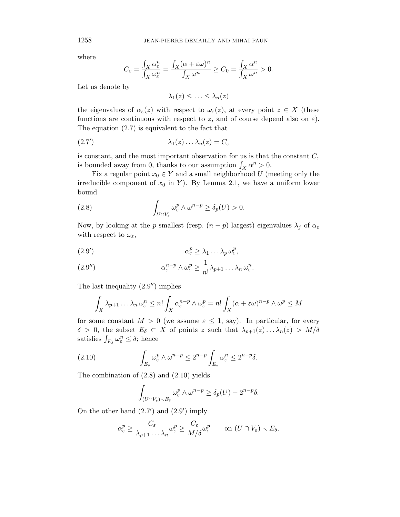where

$$
C_{\varepsilon} = \frac{\int_X \alpha_{\varepsilon}^n}{\int_X \omega_{\varepsilon}^n} = \frac{\int_X (\alpha + \varepsilon \omega)^n}{\int_X \omega^n} \ge C_0 = \frac{\int_X \alpha^n}{\int_X \omega^n} > 0.
$$

Let us denote by

 $\lambda_1(z) \leq \ldots \leq \lambda_n(z)$ 

the eigenvalues of  $\alpha_{\varepsilon}(z)$  with respect to  $\omega_{\varepsilon}(z)$ , at every point  $z \in X$  (these functions are continuous with respect to *z*, and of course depend also on  $\varepsilon$ ). The equation (2.7) is equivalent to the fact that

$$
\lambda_1(z) \ldots \lambda_n(z) = C_{\varepsilon}
$$

is constant, and the most important observation for us is that the constant  $C_{\varepsilon}$ is bounded away from 0, thanks to our assumption  $\int_X \alpha^n > 0$ .

Fix a regular point  $x_0 \in Y$  and a small neighborhood U (meeting only the irreducible component of  $x_0$  in *Y*). By Lemma 2.1, we have a uniform lower bound

(2.8) 
$$
\int_{U \cap V_{\varepsilon}} \omega_{\varepsilon}^p \wedge \omega^{n-p} \geq \delta_p(U) > 0.
$$

Now, by looking at the *p* smallest (resp.  $(n - p)$  largest) eigenvalues  $\lambda_j$  of  $\alpha_{\varepsilon}$ with respect to  $\omega_{\varepsilon}$ ,

$$
\alpha_{\varepsilon}^p \geq \lambda_1 \dots \lambda_p \omega_{\varepsilon}^p,
$$

(2.9") 
$$
\alpha_{\varepsilon}^{n-p} \wedge \omega_{\varepsilon}^p \geq \frac{1}{n!} \lambda_{p+1} \dots \lambda_n \omega_{\varepsilon}^n.
$$

The last inequality  $(2.9'')$  implies

$$
\int_X \lambda_{p+1} \dots \lambda_n \omega_{\varepsilon}^n \leq n! \int_X \alpha_{\varepsilon}^{n-p} \wedge \omega_{\varepsilon}^p = n! \int_X (\alpha + \varepsilon \omega)^{n-p} \wedge \omega^p \leq M
$$

for some constant  $M > 0$  (we assume  $\varepsilon \leq 1$ , say). In particular, for every  $\delta > 0$ , the subset  $E_{\delta} \subset X$  of points *z* such that  $\lambda_{p+1}(z) \ldots \lambda_n(z) > M/\delta$ satisfies  $\int_{E_\delta} \omega_{\varepsilon}^n \leq \delta$ ; hence

(2.10) 
$$
\int_{E_{\delta}} \omega_{\varepsilon}^p \wedge \omega^{n-p} \leq 2^{n-p} \int_{E_{\delta}} \omega_{\varepsilon}^n \leq 2^{n-p} \delta.
$$

The combination of (2.8) and (2.10) yields

$$
\int_{(U \cap V_{\varepsilon}) \setminus E_{\delta}} \omega_{\varepsilon}^p \wedge \omega^{n-p} \geq \delta_p(U) - 2^{n-p} \delta.
$$

On the other hand  $(2.7')$  and  $(2.9')$  imply

$$
\alpha_{\varepsilon}^p \geq \frac{C_{\varepsilon}}{\lambda_{p+1} \dots \lambda_n} \omega_{\varepsilon}^p \geq \frac{C_{\varepsilon}}{M/\delta} \omega_{\varepsilon}^p \qquad \text{on } (U \cap V_{\varepsilon}) \setminus E_{\delta}.
$$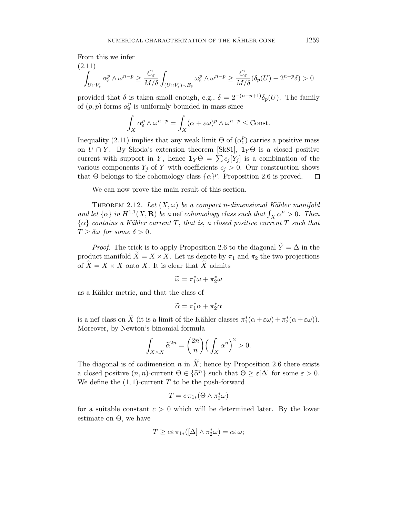From this we infer

$$
\int_{U \cap V_{\varepsilon}} \alpha_{\varepsilon}^p \wedge \omega^{n-p} \ge \frac{C_{\varepsilon}}{M/\delta} \int_{(U \cap V_{\varepsilon}) \backslash E_{\delta}} \omega_{\varepsilon}^p \wedge \omega^{n-p} \ge \frac{C_{\varepsilon}}{M/\delta} (\delta_p(U) - 2^{n-p} \delta) > 0
$$

provided that  $\delta$  is taken small enough, e.g.,  $\delta = 2^{-(n-p+1)} \delta_p(U)$ . The family of  $(p, p)$ -forms  $\alpha_{\varepsilon}^p$  is uniformly bounded in mass since

$$
\int_X \alpha_{\varepsilon}^p \wedge \omega^{n-p} = \int_X (\alpha + \varepsilon \omega)^p \wedge \omega^{n-p} \le \text{Const.}
$$

Inequality (2.11) implies that any weak limit  $\Theta$  of  $(\alpha_{\varepsilon}^p)$  carries a positive mass on  $U \cap Y$ . By Skoda's extension theorem [Sk81],  $\mathbf{1}_Y \Theta$  is a closed positive current with support in *Y*, hence  $\mathbf{1}_Y \Theta = \sum c_j [Y_j]$  is a combination of the various components  $Y_j$  of  $Y$  with coefficients  $c_j > 0$ . Our construction shows that  $\Theta$  belongs to the cohomology class  $\{\alpha\}^p$ . Proposition 2.6 is proved.  $\Box$ 

We can now prove the main result of this section.

THEOREM 2.12. Let  $(X, \omega)$  be a compact *n*-dimensional Kähler manifold and let  $\{\alpha\}$  in  $H^{1,1}(X,\mathbf{R})$  be a nef cohomology class such that  $\int_X \alpha^n > 0$ . Then  $\{\alpha\}$  contains a Kähler current *T*, that is, a closed positive current *T* such that  $T \geq \delta \omega$  for some  $\delta > 0$ .

*Proof.* The trick is to apply Proposition 2.6 to the diagonal  $\widetilde{Y} = \Delta$  in the product manifold  $\widetilde{X} = X \times X$ . Let us denote by  $\pi_1$  and  $\pi_2$  the two projections of  $\tilde{X} = X \times X$  onto X. It is clear that  $\tilde{X}$  admits

$$
\widetilde{\omega} = \pi_1^* \omega + \pi_2^* \omega
$$

as a Kähler metric, and that the class of

$$
\widetilde{\alpha} = \pi_1^* \alpha + \pi_2^* \alpha
$$

is a nef class on *X* (it is a limit of the Kähler classes  $\pi_1^*(\alpha + \varepsilon \omega) + \pi_2^*(\alpha + \varepsilon \omega)$ ). Moreover, by Newton's binomial formula

$$
\int_{X \times X} \widetilde{\alpha}^{2n} = \binom{2n}{n} \Big( \int_X \alpha^n \Big)^2 > 0.
$$

The diagonal is of codimension *n* in  $\widetilde{X}$ ; hence by Proposition 2.6 there exists a closed positive  $(n, n)$ -current  $\Theta \in {\{\tilde{\alpha}^n\}}$  such that  $\Theta \geq \varepsilon[\Delta]$  for some  $\varepsilon > 0$ . We define the  $(1, 1)$ -current  $T$  to be the push-forward

$$
T = c \, \pi_{1*}(\Theta \wedge \pi_2^* \omega)
$$

for a suitable constant  $c > 0$  which will be determined later. By the lower estimate on Θ, we have

$$
T \geq c \varepsilon \pi_{1*}([\Delta] \wedge \pi_2^* \omega) = c \varepsilon \omega;
$$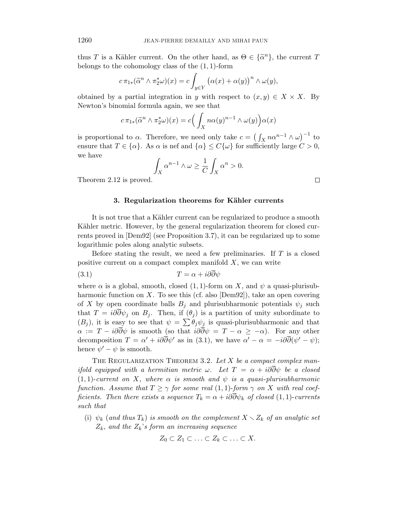thus *T* is a Kähler current. On the other hand, as  $\Theta \in {\{\tilde{\alpha}^n\}}$ , the current *T* belongs to the cohomology class of the (1*,* 1)-form

$$
c \pi_{1*}(\widetilde{\alpha}^n \wedge \pi_2^* \omega)(x) = c \int_{y \in Y} \left( \alpha(x) + \alpha(y) \right)^n \wedge \omega(y),
$$

obtained by a partial integration in *y* with respect to  $(x, y) \in X \times X$ . By Newton's binomial formula again, we see that

$$
c \pi_{1*}(\widetilde{\alpha}^n \wedge \pi_2^* \omega)(x) = c \Big( \int_X n \alpha(y)^{n-1} \wedge \omega(y) \Big) \alpha(x)
$$

is proportional to  $\alpha$ . Therefore, we need only take  $c = (\int_X n\alpha^{n-1} \wedge \omega)^{-1}$  to ensure that  $T \in {\alpha}$ . As  $\alpha$  is nef and  ${\alpha} \leq C{\omega}$  for sufficiently large  $C > 0$ , we have

$$
\int_X \alpha^{n-1} \wedge \omega \ge \frac{1}{C} \int_X \alpha^n > 0.
$$

Theorem 2.12 is proved.

### **3. Regularization theorems for Kähler currents**

It is not true that a Kähler current can be regularized to produce a smooth Kähler metric. However, by the general regularization theorem for closed currents proved in [Dem92] (see Proposition 3.7), it can be regularized up to some logarithmic poles along analytic subsets.

Before stating the result, we need a few preliminaries. If *T* is a closed positive current on a compact complex manifold *X*, we can write

$$
(3.1) \t\t T = \alpha + i\partial\partial\psi
$$

where  $\alpha$  is a global, smooth, closed  $(1,1)$ -form on *X*, and  $\psi$  a quasi-plurisubharmonic function on *X*. To see this (cf. also [Dem92]), take an open covering of *X* by open coordinate balls  $B_j$  and plurisubharmonic potentials  $\psi_j$  such that  $T = i\partial \overline{\partial} \psi_j$  on  $B_j$ . Then, if  $(\theta_j)$  is a partition of unity subordinate to  $(B_j)$ , it is easy to see that  $\psi = \sum \theta_j \psi_j$  is quasi-plurisubharmonic and that  $\alpha := T - i\partial\overline{\partial}\psi$  is smooth (so that  $i\partial\overline{\partial}\psi = T - \alpha \geq -\alpha$ ). For any other decomposition  $T = \alpha' + i\partial\partial\psi'$  as in (3.1), we have  $\alpha' - \alpha = -i\partial\partial(\psi' - \psi);$ hence  $\psi' - \psi$  is smooth.

THE REGULARIZATION THEOREM 3.2. Let *X* be a compact complex manifold equipped with a hermitian metric  $\omega$ . Let  $T = \alpha + i\partial\overline{\partial}\psi$  be a closed  $(1,1)$ -current on X, where  $\alpha$  is smooth and  $\psi$  is a quasi-plurisubharmonic function. Assume that  $T \ge \gamma$  for some real (1, 1)-form  $\gamma$  on X with real coefficients. Then there exists a sequence  $T_k = \alpha + i\partial\partial\psi_k$  of closed (1, 1)-currents such that

(i)  $\psi_k$  (and thus  $T_k$ ) is smooth on the complement  $X \setminus Z_k$  of an analytic set  $Z_k$ , and the  $Z_k$ 's form an increasing sequence

$$
Z_0 \subset Z_1 \subset \ldots \subset Z_k \subset \ldots \subset X.
$$

 $\Box$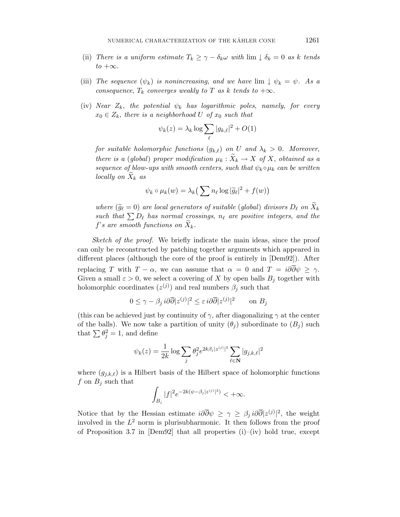- (ii) There is a uniform estimate  $T_k \geq \gamma \delta_k \omega$  with  $\lim_{k \to \infty} \phi_k = 0$  as *k* tends  $to +\infty$ .
- (iii) The sequence  $(\psi_k)$  is nonincreasing, and we have  $\lim_{k \to \infty} \psi_k = \psi$ . As a consequence,  $T_k$  converges weakly to  $T$  as  $k$  tends to  $+\infty$ .
- (iv) Near  $Z_k$ , the potential  $\psi_k$  has logarithmic poles, namely, for every  $x_0 \in Z_k$ , there is a neighborhood *U* of  $x_0$  such that

$$
\psi_k(z) = \lambda_k \log \sum_{\ell} |g_{k,\ell}|^2 + O(1)
$$

for suitable holomorphic functions  $(g_{k,\ell})$  on *U* and  $\lambda_k > 0$ . Moreover, there is a (global) proper modification  $\mu_k : \widetilde{X}_k \to X$  of X, obtained as a sequence of blow-ups with smooth centers, such that  $\psi_k \circ \mu_k$  can be written locally on  $X_k$  as

$$
\psi_k \circ \mu_k(w) = \lambda_k \big( \sum n_\ell \log |\widetilde{g}_\ell|^2 + f(w) \big)
$$

where  $(\widetilde{g}_{\ell} = 0)$  are local generators of suitable (global) divisors  $D_{\ell}$  on  $X_k$ such that  $\sum D_{\ell}$  has normal crossings,  $n_{\ell}$  are positive integers, and the  $f$ 's are smooth functions on  $X_k$ .

Sketch of the proof. We briefly indicate the main ideas, since the proof can only be reconstructed by patching together arguments which appeared in different places (although the core of the proof is entirely in [Dem92]). After replacing *T* with  $T - \alpha$ , we can assume that  $\alpha = 0$  and  $T = i\partial\overline{\partial}\psi \geq \gamma$ . Given a small  $\varepsilon > 0$ , we select a covering of X by open balls  $B_i$  together with holomorphic coordinates  $(z^{(j)})$  and real numbers  $\beta_j$  such that

$$
0 \le \gamma - \beta_j i \partial \overline{\partial} |z^{(j)}|^2 \le \varepsilon i \partial \overline{\partial} |z^{(j)}|^2 \qquad \text{on } B_j
$$

(this can be achieved just by continuity of  $\gamma$ , after diagonalizing  $\gamma$  at the center of the balls). We now take a partition of unity  $(\theta_j)$  subordinate to  $(B_j)$  such that  $\sum \theta_j^2 = 1$ , and define

$$
\psi_k(z) = \frac{1}{2k} \log \sum_j \theta_j^2 e^{2k\beta_j |z^{(j)}|^2} \sum_{\ell \in \mathbf{N}} |g_{j,k,\ell}|^2
$$

where  $(g_{j,k,\ell})$  is a Hilbert basis of the Hilbert space of holomorphic functions *f* on  $B_j$  such that

$$
\int_{B_j} |f|^2 e^{-2k(\psi - \beta_j |z^{(j)}|^2)} < +\infty.
$$

Notice that by the Hessian estimate  $i\partial\overline{\partial}\psi \geq \gamma \geq \beta_j i\partial\overline{\partial}|z^{(j)}|^2$ , the weight involved in the  $L^2$  norm is plurisubharmonic. It then follows from the proof of Proposition 3.7 in  $[Dem92]$  that all properties (i)–(iv) hold true, except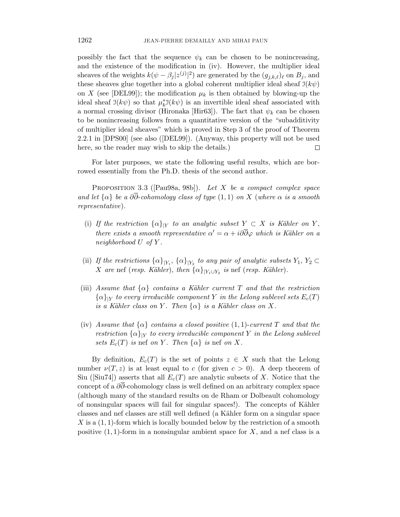possibly the fact that the sequence  $\psi_k$  can be chosen to be nonincreasing, and the existence of the modification in (iv). However, the multiplier ideal sheaves of the weights  $k(\psi - \beta_j |z^{(j)}|^2)$  are generated by the  $(g_{j,k,\ell})_\ell$  on  $B_j$ , and these sheaves glue together into a global coherent multiplier ideal sheaf  $\mathfrak{I}(k\psi)$ on *X* (see [DEL99]); the modification  $\mu_k$  is then obtained by blowing-up the ideal sheaf  $\mathfrak{I}(k\psi)$  so that  $\mu_k^* \mathfrak{I}(k\psi)$  is an invertible ideal sheaf associated with a normal crossing divisor (Hironaka [Hir63]). The fact that  $\psi_k$  can be chosen to be nonincreasing follows from a quantitative version of the "subadditivity of multiplier ideal sheaves" which is proved in Step 3 of the proof of Theorem 2.2.1 in [DPS00] (see also ([DEL99]). (Anyway, this property will not be used here, so the reader may wish to skip the details.) □

For later purposes, we state the following useful results, which are borrowed essentially from the Ph.D. thesis of the second author.

PROPOSITION 3.3 ([Pau98a, 98b]). Let *X* be a compact complex space and let  $\{\alpha\}$  be a  $\partial\overline{\partial}$ -cohomology class of type  $(1,1)$  on X (where  $\alpha$  is a smooth representative).

- (i) If the restriction  $\{\alpha\}_{|Y}$  to an analytic subset  $Y \subset X$  is Kähler on Y, there exists a smooth representative  $\alpha' = \alpha + i\partial\partial\varphi$  which is Kähler on a neighborhood *U* of *Y* .
- (ii) If the restrictions  $\{\alpha\}_{|Y_1}, \{\alpha\}_{|Y_2}$  to any pair of analytic subsets  $Y_1, Y_2 \subset$ *X* are nef (resp. Kähler), then  $\{\alpha\}_{|Y_1 \cup Y_2}$  is nef (resp. Kähler).
- (iii) Assume that  $\{\alpha\}$  contains a Kähler current T and that the restriction  ${\alpha}_{\mid Y}$  to every irreducible component *Y* in the Lelong sublevel sets  $E_c(T)$ is a Kähler class on Y. Then  $\{\alpha\}$  is a Kähler class on X.
- (iv) Assume that  $\{\alpha\}$  contains a closed positive  $(1,1)$ -current *T* and that the restriction  $\{\alpha\}_{Y}$  to every irreducible component *Y* in the Lelong sublevel sets  $E_c(T)$  is nef on *Y*. Then  $\{\alpha\}$  is nef on *X*.

By definition,  $E_c(T)$  is the set of points  $z \in X$  such that the Lelong number  $\nu(T, z)$  is at least equal to *c* (for given  $c > 0$ ). A deep theorem of Siu ([Siu74]) asserts that all  $E_c(T)$  are analytic subsets of X. Notice that the concept of a *∂∂*-cohomology class is well defined on an arbitrary complex space (although many of the standard results on de Rham or Dolbeault cohomology of nonsingular spaces will fail for singular spaces!). The concepts of Kähler classes and nef classes are still well defined (a Kähler form on a singular space *X* is a (1*,* 1)-form which is locally bounded below by the restriction of a smooth positive  $(1, 1)$ -form in a nonsingular ambient space for  $X$ , and a nef class is a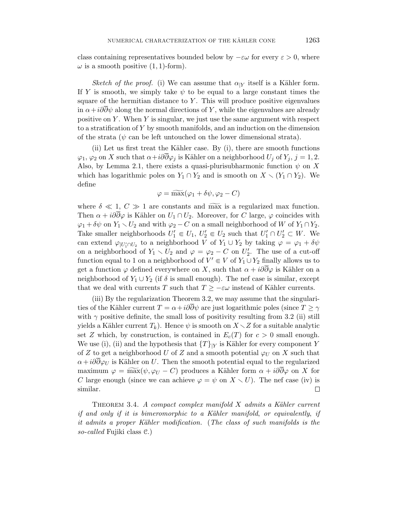class containing representatives bounded below by  $-\varepsilon\omega$  for every  $\varepsilon > 0$ , where  $\omega$  is a smooth positive  $(1, 1)$ -form).

Sketch of the proof. (i) We can assume that  $\alpha_{|Y}$  itself is a Kähler form. If *Y* is smooth, we simply take  $\psi$  to be equal to a large constant times the square of the hermitian distance to *Y* . This will produce positive eigenvalues in  $\alpha + i\partial \partial \psi$  along the normal directions of *Y*, while the eigenvalues are already positive on *Y* . When *Y* is singular, we just use the same argument with respect to a stratification of *Y* by smooth manifolds, and an induction on the dimension of the strata ( $\psi$  can be left untouched on the lower dimensional strata).

(ii) Let us first treat the Kähler case. By  $(i)$ , there are smooth functions  $\varphi_1$ ,  $\varphi_2$  on *X* such that  $\alpha + i\partial\partial\varphi_j$  is Kähler on a neighborhood  $U_j$  of  $Y_j$ ,  $j = 1, 2$ . Also, by Lemma 2.1, there exists a quasi-plurisubharmonic function  $\psi$  on X which has logarithmic poles on  $Y_1 \cap Y_2$  and is smooth on  $X \setminus (Y_1 \cap Y_2)$ . We define

$$
\varphi = \widetilde{\max}(\varphi_1 + \delta\psi, \varphi_2 - C)
$$

where  $\delta \ll 1, C \gg 1$  are constants and max is a regularized max function. Then  $\alpha + i\partial\overline{\partial}\varphi$  is Kähler on  $U_1 \cap U_2$ . Moreover, for *C* large,  $\varphi$  coincides with  $\varphi_1 + \delta \psi$  on  $Y_1 \setminus U_2$  and with  $\varphi_2 - C$  on a small neighborhood of *W* of  $Y_1 \cap Y_2$ . Take smaller neighborhoods  $U'_1 \in U_1$ ,  $U'_2 \in U_2$  such that  $U'_1 \cap U'_2 \subset W$ . We can extend  $\varphi_{|U_1' \cap U_2}$  to a neighborhood *V* of  $Y_1 \cup Y_2$  by taking  $\varphi = \varphi_1 + \delta \psi$ on a neighborhood of  $Y_1 \setminus U_2$  and  $\varphi = \varphi_2 - C$  on  $U_2'$ . The use of a cut-off function equal to 1 on a neighborhood of  $V' \in V$  of  $Y_1 \cup Y_2$  finally allows us to get a function  $\varphi$  defined everywhere on X, such that  $\alpha + i\partial\overline{\partial}\varphi$  is Kähler on a neighborhood of  $Y_1 \cup Y_2$  (if  $\delta$  is small enough). The nef case is similar, except that we deal with currents *T* such that  $T \geq -\varepsilon \omega$  instead of Kähler currents.

(iii) By the regularization Theorem 3.2, we may assume that the singularities of the Kähler current  $T = \alpha + i\partial\overline{\partial}\psi$  are just logarithmic poles (since  $T \geq \gamma$ with  $\gamma$  positive definite, the small loss of positivity resulting from 3.2 (ii) still yields a Kähler current  $T_k$ ). Hence  $\psi$  is smooth on  $X \setminus Z$  for a suitable analytic set *Z* which, by construction, is contained in  $E_c(T)$  for  $c > 0$  small enough. We use (i), (ii) and the hypothesis that  $\{T\}_{|Y}$  is Kähler for every component *Y* of *Z* to get a neighborhood *U* of *Z* and a smooth potential  $\varphi_U$  on *X* such that  $\alpha + i\partial\overline{\partial}\varphi_U$  is Kähler on *U*. Then the smooth potential equal to the regularized maximum  $\varphi = \widetilde{\max}(\psi, \varphi_U - C)$  produces a Kähler form  $\alpha + i\partial\overline{\partial}\varphi$  on X for *C* large enough (since we can achieve  $\varphi = \psi$  on  $X \setminus U$ ). The nef case (iv) is similar. □

THEOREM 3.4. A compact complex manifold *X* admits a Kähler current if and only if it is bimeromorphic to a Kähler manifold, or equivalently, if it admits a proper Kähler modification. (The class of such manifolds is the so-called Fujiki class C.)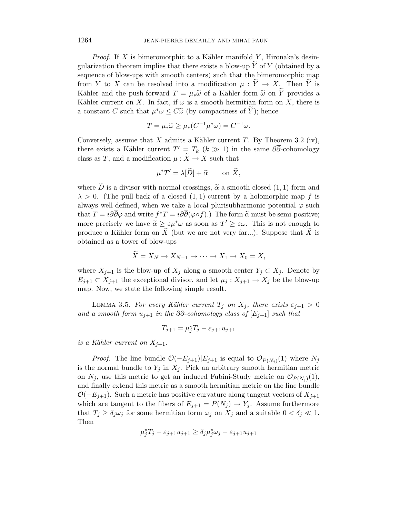*Proof.* If  $X$  is bimeromorphic to a Kähler manifold  $Y$ , Hironaka's desingularization theorem implies that there exists a blow-up  $\overline{Y}$  of  $Y$  (obtained by a sequence of blow-ups with smooth centers) such that the bimeromorphic map from *Y* to *X* can be resolved into a modification  $\mu : \widetilde{Y} \to X$ . Then  $\widetilde{Y}$  is Kähler and the push-forward  $T = \mu_* \tilde{\omega}$  of a Kähler form  $\tilde{\omega}$  on  $\tilde{Y}$  provides a Kähler current on *X*. In fact, if  $\omega$  is a smooth hermitian form on *X*, there is a constant *C* such that  $\mu^*\omega \leq C\tilde{\omega}$  (by compactness of  $\tilde{Y}$ ); hence

$$
T = \mu_* \widetilde{\omega} \ge \mu_* (C^{-1} \mu^* \omega) = C^{-1} \omega.
$$

Conversely, assume that  $X$  admits a Kähler current  $T$ . By Theorem 3.2 (iv), there exists a Kähler current  $T' = T_k$  ( $k \gg 1$ ) in the same  $\partial \partial$ -cohomology class as *T*, and a modification  $\mu : \widetilde{X} \to X$  such that

$$
\mu^* T' = \lambda[\widetilde{D}] + \widetilde{\alpha} \qquad \text{on } \widetilde{X},
$$

where  $\overline{D}$  is a divisor with normal crossings,  $\tilde{\alpha}$  a smooth closed (1, 1)-form and  $\lambda > 0$ . (The pull-back of a closed  $(1,1)$ -current by a holomorphic map f is always well-defined, when we take a local plurisubharmonic potential  $\varphi$  such that  $T = i\partial\overline{\partial}\varphi$  and write  $f^*T = i\partial\overline{\partial}(\varphi \circ f)$ .) The form  $\tilde{\alpha}$  must be semi-positive; more precisely we have  $\tilde{\alpha} \geq \varepsilon \mu^* \omega$  as soon as  $T' \geq \varepsilon \omega$ . This is not enough to produce a Kähler form on  $\tilde{X}$  (but we are not very far). Suppose that  $\tilde{X}$  is produce a Kähler form on *X* (but we are not very far...). Suppose that  $\widetilde{X}$  is obtained as a tower of blow-ups

$$
\widetilde{X} = X_N \to X_{N-1} \to \cdots \to X_1 \to X_0 = X,
$$

where  $X_{j+1}$  is the blow-up of  $X_j$  along a smooth center  $Y_j \subset X_j$ . Denote by  $E_{i+1} \subset X_{i+1}$  the exceptional divisor, and let  $\mu_i: X_{i+1} \to X_i$  be the blow-up map. Now, we state the following simple result.

LEMMA 3.5. For every Kähler current  $T_j$  on  $X_j$ , there exists  $\varepsilon_{j+1} > 0$ and a smooth form  $u_{i+1}$  in the  $\partial \overline{\partial}$ -cohomology class of  $[E_{i+1}]$  such that

$$
T_{j+1} = \mu_j^* T_j - \varepsilon_{j+1} u_{j+1}
$$

is a Kähler current on  $X_{j+1}$ .

*Proof.* The line bundle  $O(-E_{j+1})|E_{j+1}$  is equal to  $O_{P(N_i)}(1)$  where  $N_j$ is the normal bundle to  $Y_j$  in  $X_j$ . Pick an arbitrary smooth hermitian metric on  $N_j$ , use this metric to get an induced Fubini-Study metric on  $\mathcal{O}_{P(N_i)}(1)$ , and finally extend this metric as a smooth hermitian metric on the line bundle  $\mathcal{O}(-E_{j+1})$ . Such a metric has positive curvature along tangent vectors of  $X_{j+1}$ which are tangent to the fibers of  $E_{j+1} = P(N_j) \rightarrow Y_j$ . Assume furthermore that  $T_j \geq \delta_j \omega_j$  for some hermitian form  $\omega_j$  on  $X_j$  and a suitable  $0 < \delta_j \ll 1$ . Then

$$
\mu_j^{\star} T_j - \varepsilon_{j+1} u_{j+1} \ge \delta_j \mu_j^{\star} \omega_j - \varepsilon_{j+1} u_{j+1}
$$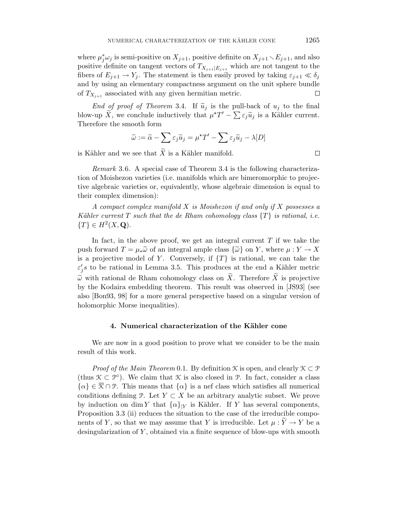where  $\mu_j^* \omega_j$  is semi-positive on  $X_{j+1}$ , positive definite on  $X_{j+1} \setminus E_{j+1}$ , and also positive definite on tangent vectors of  $T_{X_{j+1}|E_{j+1}}$  which are not tangent to the fibers of  $E_{i+1} \to Y_i$ . The statement is then easily proved by taking  $\varepsilon_{i+1} \ll \delta_i$ and by using an elementary compactness argument on the unit sphere bundle of  $T_{X_{j+1}}$  associated with any given hermitian metric. □

End of proof of Theorem 3.4. If  $\tilde{u}_j$  is the pull-back of  $u_j$  to the final blow-up  $\widetilde{X}$ , we conclude inductively that  $\mu^*T' - \sum \varepsilon_j \widetilde{u}_j$  is a Kähler current.<br>Therefore the smooth form Therefore the smooth form

$$
\widetilde{\omega} := \widetilde{\alpha} - \sum \varepsilon_j \widetilde{u}_j = \mu^{\star} T' - \sum \varepsilon_j \widetilde{u}_j - \lambda [D]
$$

is Kähler and we see that  $\widetilde{X}$  is a Kähler manifold.

Remark 3.6. A special case of Theorem 3.4 is the following characterization of Moishezon varieties (i.e. manifolds which are bimeromorphic to projective algebraic varieties or, equivalently, whose algebraic dimension is equal to their complex dimension):

A compact complex manifold *X* is Moishezon if and only if *X* possesses a Kähler current *T* such that the de Rham cohomology class  $\{T\}$  is rational, i.e.  ${T} \in H^2(X, \mathbf{Q}).$ 

In fact, in the above proof, we get an integral current *T* if we take the push forward  $T = \mu_* \widetilde{\omega}$  of an integral ample class  $\{\widetilde{\omega}\}\$  on *Y*, where  $\mu: Y \to X$ is a projective model of *Y*. Conversely, if  $\{T\}$  is rational, we can take the  $\varepsilon'_{j}$ s to be rational in Lemma 3.5. This produces at the end a Kähler metric  $\tilde{\omega}$  with rational de Rham cohomology class on  $\tilde{X}$ . Therefore  $\tilde{X}$  is projective by the Kodaira embedding theorem. This result was observed in [JS93] (see also [Bon93, 98] for a more general perspective based on a singular version of holomorphic Morse inequalities).

### **4. Numerical characterization of the Kähler cone**

We are now in a good position to prove what we consider to be the main result of this work.

*Proof of the Main Theorem* 0.1. By definition  $\mathcal K$  is open, and clearly  $\mathcal K \subset \mathcal P$ (thus  $\mathcal{K} \subset \mathcal{P}^{\circ}$ ). We claim that  $\mathcal{K}$  is also closed in  $\mathcal{P}$ . In fact, consider a class  $\{\alpha\} \in \overline{\mathcal{K}} \cap \mathcal{P}$ . This means that  $\{\alpha\}$  is a nef class which satisfies all numerical conditions defining P. Let  $Y \subset X$  be an arbitrary analytic subset. We prove by induction on dim *Y* that  $\{\alpha\}_{|Y}$  is Kähler. If *Y* has several components, Proposition 3.3 (ii) reduces the situation to the case of the irreducible components of *Y*, so that we may assume that *Y* is irreducible. Let  $\mu: Y \to Y$  be a desingularization of *Y* , obtained via a finite sequence of blow-ups with smooth

 $\Box$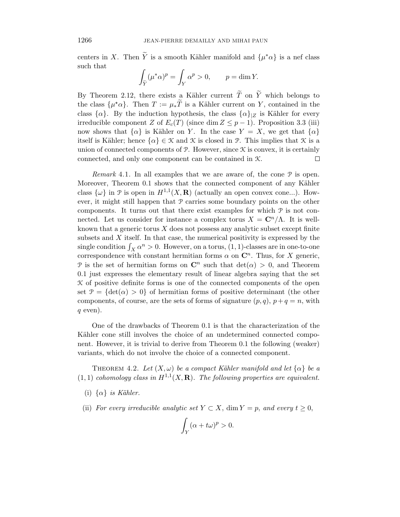centers in *X*. Then  $\tilde{Y}$  is a smooth Kähler manifold and  $\{\mu^*\alpha\}$  is a nef class such that

$$
\int_{\tilde{Y}} (\mu^* \alpha)^p = \int_Y \alpha^p > 0, \qquad p = \dim Y.
$$

By Theorem 2.12, there exists a Kähler current  $\widetilde{T}$  on  $\widetilde{Y}$  which belongs to the class  $\{\mu^{\star}\alpha\}$ . Then  $T := \mu_* \widetilde{T}$  is a Kähler current on *Y*, contained in the class  $\{\alpha\}$ . By the induction hypothesis, the class  $\{\alpha\}_{|Z}$  is Kähler for every irreducible component *Z* of  $E_c(T)$  (since dim  $Z \leq p-1$ ). Proposition 3.3 (iii) now shows that  $\{\alpha\}$  is Kähler on *Y*. In the case  $Y = X$ , we get that  $\{\alpha\}$ itself is Kähler; hence  $\{\alpha\} \in \mathcal{K}$  and  $\mathcal{K}$  is closed in P. This implies that  $\mathcal{K}$  is a union of connected components of  $\mathcal{P}$ . However, since  $\mathcal{K}$  is convex, it is certainly connected, and only one component can be contained in K. □

*Remark* 4.1. In all examples that we are aware of, the cone  $P$  is open. Moreover, Theorem 0.1 shows that the connected component of any Kähler class  $\{\omega\}$  in  $\mathcal{P}$  is open in  $H^{1,1}(X,\mathbf{R})$  (actually an open convex cone...). However, it might still happen that  $P$  carries some boundary points on the other components. It turns out that there exist examples for which P is not connected. Let us consider for instance a complex torus  $X = \mathbb{C}^n / \Lambda$ . It is wellknown that a generic torus *X* does not possess any analytic subset except finite subsets and *X* itself. In that case, the numerical positivity is expressed by the single condition  $\int_X \alpha^n > 0$ . However, on a torus,  $(1, 1)$ -classes are in one-to-one correspondence with constant hermitian forms  $\alpha$  on  $\mathbb{C}^n$ . Thus, for *X* generic, P is the set of hermitian forms on  $\mathbb{C}^n$  such that  $\det(\alpha) > 0$ , and Theorem 0.1 just expresses the elementary result of linear algebra saying that the set  $\mathcal K$  of positive definite forms is one of the connected components of the open set  $\mathcal{P} = \{ \det(\alpha) > 0 \}$  of hermitian forms of positive determinant (the other components, of course, are the sets of forms of signature  $(p, q)$ ,  $p + q = n$ , with *q* even).

One of the drawbacks of Theorem 0.1 is that the characterization of the Kähler cone still involves the choice of an undetermined connected component. However, it is trivial to derive from Theorem 0.1 the following (weaker) variants, which do not involve the choice of a connected component.

THEOREM 4.2. Let  $(X, \omega)$  be a compact Kähler manifold and let  $\{\alpha\}$  be a  $(1,1)$  cohomology class in  $H^{1,1}(X,\mathbf{R})$ . The following properties are equivalent.

- (i)  $\{\alpha\}$  is Kähler.
- (ii) For every irreducible analytic set  $Y \subset X$ , dim  $Y = p$ , and every  $t \geq 0$ ,

$$
\int_Y (\alpha + t\omega)^p > 0.
$$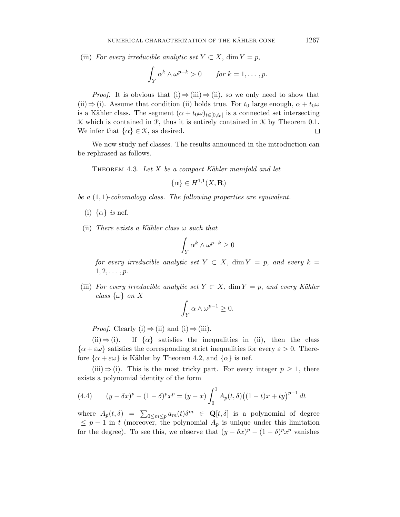(iii) For every irreducible analytic set  $Y \subset X$ , dim  $Y = p$ ,

$$
\int_Y \alpha^k \wedge \omega^{p-k} > 0 \quad \text{for } k = 1, \dots, p.
$$

*Proof.* It is obvious that (i)  $\Rightarrow$  (iii)  $\Rightarrow$  (ii), so we only need to show that (ii)  $\Rightarrow$  (i). Assume that condition (ii) holds true. For  $t_0$  large enough,  $\alpha + t_0\omega$ is a Kähler class. The segment  $(\alpha + t_0 \omega)_{t \in [0, t_0]}$  is a connected set intersecting  $\mathcal K$  which is contained in  $\mathcal P$ , thus it is entirely contained in  $\mathcal K$  by Theorem 0.1. We infer that  $\{\alpha\} \in \mathcal{K}$ , as desired.  $\Box$ 

We now study nef classes. The results announced in the introduction can be rephrased as follows.

THEOREM 4.3. Let *X* be a compact Kähler manifold and let

$$
\{\alpha\} \in H^{1,1}(X, \mathbf{R})
$$

be a (1*,* 1)-cohomology class. The following properties are equivalent.

- (i)  $\{\alpha\}$  *is* nef.
- (ii) There exists a Kähler class  $\omega$  such that

$$
\int_Y \alpha^k \wedge \omega^{p-k} \ge 0
$$

for every irreducible analytic set  $Y \subset X$ , dim  $Y = p$ , and every  $k =$  $1, 2, \ldots, p.$ 

(iii) For every irreducible analytic set  $Y \subset X$ , dim  $Y = p$ , and every Kähler class  $\{\omega\}$  on X

$$
\int_Y \alpha \wedge \omega^{p-1} \ge 0.
$$

*Proof.* Clearly (i)  $\Rightarrow$  (ii) and (i)  $\Rightarrow$  (iii).

 $(ii) \Rightarrow (i)$ . If  $\{\alpha\}$  satisfies the inequalities in (ii), then the class  $\{\alpha + \varepsilon\omega\}$  satisfies the corresponding strict inequalities for every  $\varepsilon > 0$ . Therefore  $\{\alpha + \varepsilon\omega\}$  is Kähler by Theorem 4.2, and  $\{\alpha\}$  is nef.

(iii)  $\Rightarrow$  (i). This is the most tricky part. For every integer  $p \geq 1$ , there exists a polynomial identity of the form

(4.4) 
$$
(y - \delta x)^p - (1 - \delta)^p x^p = (y - x) \int_0^1 A_p(t, \delta) ((1 - t)x + ty)^{p-1} dt
$$

where  $A_p(t, \delta) = \sum_{0 \le m \le p} a_m(t) \delta^m \in \mathbf{Q}[t, \delta]$  is a polynomial of degree  $\leq p-1$  in *t* (moreover, the polynomial  $A_p$  is unique under this limitation for the degree). To see this, we observe that  $(y - \delta x)^p - (1 - \delta)^p x^p$  vanishes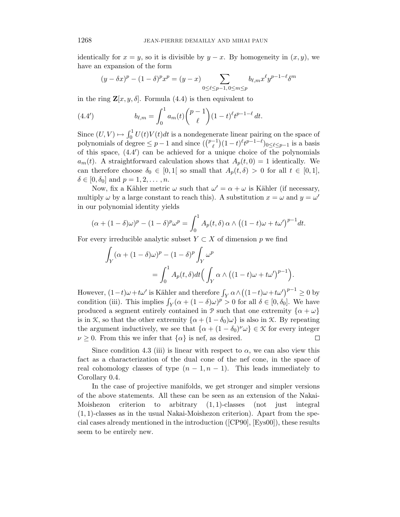identically for  $x = y$ , so it is divisible by  $y - x$ . By homogeneity in  $(x, y)$ , we have an expansion of the form

$$
(y - \delta x)^p - (1 - \delta)^p x^p = (y - x) \sum_{0 \le \ell \le p-1, 0 \le m \le p} b_{\ell,m} x^{\ell} y^{p-1-\ell} \delta^m
$$

in the ring  $\mathbf{Z}[x, y, \delta]$ . Formula (4.4) is then equivalent to

(4.4') 
$$
b_{\ell,m} = \int_0^1 a_m(t) \binom{p-1}{\ell} (1-t)^{\ell} t^{p-1-\ell} dt.
$$

Since  $(U, V) \mapsto \int_0^1 U(t)V(t)dt$  is a nondegenerate linear pairing on the space of polynomials of degree  $\leq p-1$  and since  $(\binom{p-1}{\ell}(1-t)^{\ell}t^{p-1-\ell})_{0 \leq \ell \leq p-1}$  is a basis of this space,  $(4.4')$  can be achieved for a unique choice of the polynomials  $a_m(t)$ . A straightforward calculation shows that  $A_p(t, 0) = 1$  identically. We can therefore choose  $\delta_0 \in [0,1]$  so small that  $A_p(t,\delta) > 0$  for all  $t \in [0,1]$ ,  $\delta \in [0, \delta_0]$  and  $p = 1, 2, ..., n$ .

Now, fix a Kähler metric  $\omega$  such that  $\omega' = \alpha + \omega$  is Kähler (if necessary, multiply  $\omega$  by a large constant to reach this). A substitution  $x = \omega$  and  $y = \omega'$ in our polynomial identity yields

$$
(\alpha + (1 - \delta)\omega)^p - (1 - \delta)^p \omega^p = \int_0^1 A_p(t, \delta) \alpha \wedge ((1 - t)\omega + t\omega')^{p-1} dt.
$$

For every irreducible analytic subset  $Y \subset X$  of dimension p we find

$$
\int_{Y} (\alpha + (1 - \delta)\omega)^{p} - (1 - \delta)^{p} \int_{Y} \omega^{p}
$$
\n
$$
= \int_{0}^{1} A_{p}(t, \delta) dt \Big( \int_{Y} \alpha \wedge ((1 - t)\omega + t\omega')^{p-1} \Big).
$$

However,  $(1-t)\omega + t\omega'$  is Kähler and therefore  $\int_Y \alpha \wedge ((1-t)\omega + t\omega')^{p-1} \geq 0$  by condition (iii). This implies  $\int_Y (\alpha + (1 - \delta)\omega)^p > 0$  for all  $\delta \in [0, \delta_0]$ . We have produced a segment entirely contained in  $\mathcal{P}$  such that one extremity  $\{\alpha + \omega\}$ is in K, so that the other extremity  $\{\alpha + (1 - \delta_0)\omega\}$  is also in K. By repeating the argument inductively, we see that  $\{\alpha + (1 - \delta_0)^{\nu} \omega\} \in \mathcal{K}$  for every integer  $\nu \geq 0$ . From this we infer that  $\{\alpha\}$  is nef, as desired. □

Since condition 4.3 (iii) is linear with respect to  $\alpha$ , we can also view this fact as a characterization of the dual cone of the nef cone, in the space of real cohomology classes of type  $(n-1, n-1)$ . This leads immediately to Corollary 0.4.

In the case of projective manifolds, we get stronger and simpler versions of the above statements. All these can be seen as an extension of the Nakai-Moishezon criterion to arbitrary (1*,* 1)-classes (not just integral (1*,* 1)-classes as in the usual Nakai-Moishezon criterion). Apart from the special cases already mentioned in the introduction ([CP90], [Eys00]), these results seem to be entirely new.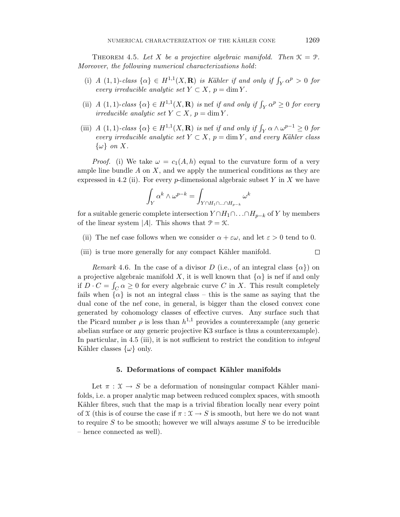THEOREM 4.5. Let *X* be a projective algebraic manifold. Then  $\mathcal{K} = \mathcal{P}$ . Moreover, the following numerical characterizations hold:

- (i) A (1, 1)-class  $\{\alpha\} \in H^{1,1}(X,\mathbf{R})$  is Kähler if and only if  $\int_Y \alpha^p > 0$  for  $every \; irreducible \; analytic \; set \; Y \subset X, \; p = \dim Y.$
- (ii)  $A(1,1)$ -class  $\{\alpha\} \in H^{1,1}(X,\mathbf{R})$  is nef if and only if  $\int_Y \alpha^p \ge 0$  for every irreducible analytic set  $Y \subset X$ ,  $p = \dim Y$ .
- (iii)  $A(1,1)$ -class  $\{\alpha\} \in H^{1,1}(X,\mathbf{R})$  is nef if and only if  $\int_Y \alpha \wedge \omega^{p-1} \geq 0$  for every irreducible analytic set  $Y \subset X$ ,  $p = \dim Y$ , and every Kähler class {*ω*} on *X*.

*Proof.* (i) We take  $\omega = c_1(A, h)$  equal to the curvature form of a very ample line bundle *A* on *X*, and we apply the numerical conditions as they are expressed in 4.2 (ii). For every  $p$ -dimensional algebraic subset  $Y$  in  $X$  we have

$$
\int_Y \alpha^k \wedge \omega^{p-k} = \int_{Y \cap H_1 \cap \ldots \cap H_{p-k}} \omega^k
$$

for a suitable generic complete intersection  $Y \cap H_1 \cap \ldots \cap H_{p-k}$  of *Y* by members of the linear system  $|A|$ . This shows that  $P = \mathcal{K}$ .

- (ii) The nef case follows when we consider  $\alpha + \varepsilon \omega$ , and let  $\varepsilon > 0$  tend to 0.
- (iii) is true more generally for any compact Kähler manifold.

*Remark* 4.6. In the case of a divisor *D* (i.e., of an integral class  $\{\alpha\}$ ) on a projective algebraic manifold X, it is well known that  $\{\alpha\}$  is nef if and only if  $D \cdot C = \int_C \alpha \ge 0$  for every algebraic curve *C* in *X*. This result completely fails when  $\{\alpha\}$  is not an integral class – this is the same as saying that the dual cone of the nef cone, in general, is bigger than the closed convex cone generated by cohomology classes of effective curves. Any surface such that the Picard number  $\rho$  is less than  $h^{1,1}$  provides a counterexample (any generic abelian surface or any generic projective K3 surface is thus a counterexample). In particular, in 4.5 (iii), it is not sufficient to restrict the condition to *integral* Kähler classes  $\{\omega\}$  only.

### **5. Deformations of compact K¨ahler manifolds**

Let  $\pi : \mathfrak{X} \to S$  be a deformation of nonsingular compact Kähler manifolds, i.e. a proper analytic map between reduced complex spaces, with smooth Kähler fibres, such that the map is a trivial fibration locally near every point of  $X$  (this is of course the case if  $\pi : X \to S$  is smooth, but here we do not want to require *S* to be smooth; however we will always assume *S* to be irreducible – hence connected as well).

 $\Box$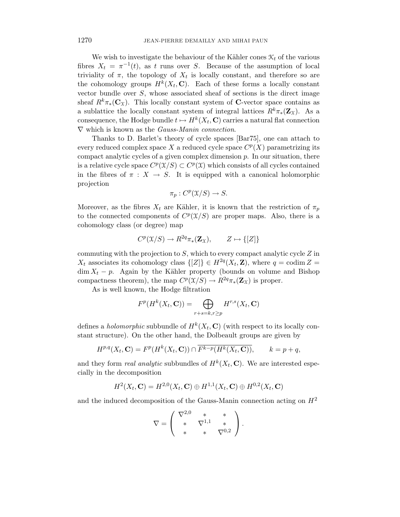We wish to investigate the behaviour of the Kähler cones  $\mathcal{K}_t$  of the various fibres  $X_t = \pi^{-1}(t)$ , as t runs over *S*. Because of the assumption of local triviality of  $\pi$ , the topology of  $X_t$  is locally constant, and therefore so are the cohomology groups  $H^k(X_t, \mathbf{C})$ . Each of these forms a locally constant vector bundle over *S*, whose associated sheaf of sections is the direct image sheaf  $R^k \pi_*(\mathbf{C}_\mathfrak{X})$ . This locally constant system of **C**-vector space contains as a sublattice the locally constant system of integral lattices  $R^k \pi_*(\mathbf{Z}_\mathfrak{X})$ . As a consequence, the Hodge bundle  $t \mapsto H^k(X_t, \mathbf{C})$  carries a natural flat connection  $\nabla$  which is known as the *Gauss-Manin connection*.

Thanks to D. Barlet's theory of cycle spaces [Bar75], one can attach to every reduced complex space X a reduced cycle space  $C^p(X)$  parametrizing its compact analytic cycles of a given complex dimension *p*. In our situation, there is a relative cycle space  $C^p(\mathfrak{X}/S) \subset C^p(\mathfrak{X})$  which consists of all cycles contained in the fibres of  $\pi : X \to S$ . It is equipped with a canonical holomorphic projection

$$
\pi_p: C^p(\mathfrak{X}/S) \to S.
$$

Moreover, as the fibres  $X_t$  are Kähler, it is known that the restriction of  $\pi_p$ to the connected components of  $C^p(\mathfrak{X}/S)$  are proper maps. Also, there is a cohomology class (or degree) map

$$
C^p(\mathfrak{X}/S) \to R^{2q} \pi_*({\bf Z}_{\mathfrak{X}}), \qquad Z \mapsto \{[Z]\}
$$

commuting with the projection to *S*, which to every compact analytic cycle *Z* in  $X_t$  associates its cohomology class  $\{Z\} \in H^{2q}(X_t, \mathbf{Z})$ , where  $q = \text{codim } Z =$  $\dim X_t - p$ . Again by the Kähler property (bounds on volume and Bishop compactness theorem), the map  $C^p(\mathfrak{X}/S) \to R^{2q}\pi_*(\mathbf{Z}_{\mathfrak{X}})$  is proper.

As is well known, the Hodge filtration

$$
F^{p}(H^{k}(X_{t},\mathbf{C})) = \bigoplus_{r+s=k,r\geq p} H^{r,s}(X_{t},\mathbf{C})
$$

defines a *holomorphic* subbundle of  $H^k(X_t, \mathbb{C})$  (with respect to its locally constant structure). On the other hand, the Dolbeault groups are given by

$$
H^{p,q}(X_t, \mathbf{C}) = F^p(H^k(X_t, \mathbf{C})) \cap \overline{F^{k-p}(H^k(X_t, \mathbf{C}))}, \qquad k = p + q,
$$

and they form *real analytic* subbundles of  $H^k(X_t, \mathbf{C})$ . We are interested especially in the decomposition

$$
H^{2}(X_{t}, \mathbf{C}) = H^{2,0}(X_{t}, \mathbf{C}) \oplus H^{1,1}(X_{t}, \mathbf{C}) \oplus H^{0,2}(X_{t}, \mathbf{C})
$$

and the induced decomposition of the Gauss-Manin connection acting on *H*<sup>2</sup>

$$
\nabla = \left( \begin{array}{ccc} \nabla^{2,0} & * & * \\ * & \nabla^{1,1} & * \\ * & * & \nabla^{0,2} \end{array} \right).
$$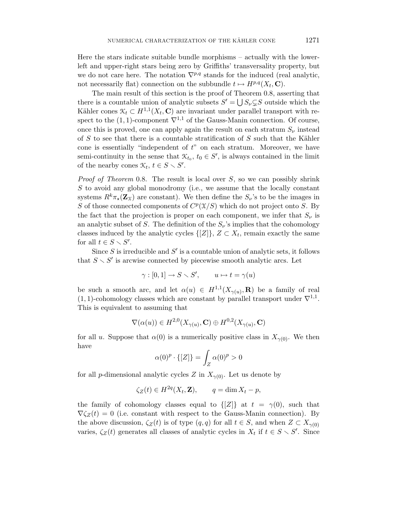Here the stars indicate suitable bundle morphisms – actually with the lowerleft and upper-right stars being zero by Griffiths' transversality property, but we do not care here. The notation  $\nabla^{p,q}$  stands for the induced (real analytic, not necessarily flat) connection on the subbundle  $t \mapsto H^{p,q}(X_t, \mathbf{C})$ .

The main result of this section is the proof of Theorem 0.8, asserting that there is a countable union of analytic subsets  $S' = \bigcup S_{\nu} \subsetneq S$  outside which the Kähler cones  $\mathcal{K}_t \subset H^{1,1}(X_t, \mathbf{C})$  are invariant under parallel transport with respect to the (1, 1)-component  $\nabla^{1,1}$  of the Gauss-Manin connection. Of course, once this is proved, one can apply again the result on each stratum  $S_{\nu}$  instead of *S* to see that there is a countable stratification of *S* such that the Kähler cone is essentially "independent of *t*" on each stratum. Moreover, we have semi-continuity in the sense that  $\mathcal{K}_{t_0}, t_0 \in S'$ , is always contained in the limit of the nearby cones  $\mathcal{K}_t, t \in S \setminus S'$ .

Proof of Theorem 0.8. The result is local over *S*, so we can possibly shrink *S* to avoid any global monodromy (i.e., we assume that the locally constant systems  $R^k \pi_\star(\mathbf{Z}_\mathcal{X})$  are constant). We then define the  $S_\nu$ 's to be the images in *S* of those connected components of  $C^p(\mathfrak{X}/S)$  which do not project onto *S*. By the fact that the projection is proper on each component, we infer that  $S_{\nu}$  is an analytic subset of *S*. The definition of the  $S_{\nu}$ 's implies that the cohomology classes induced by the analytic cycles  $\{[Z]\}, Z \subset X_t$ , remain exactly the same for all  $t \in S \setminus S'$ .

Since  $S$  is irreducible and  $S'$  is a countable union of analytic sets, it follows that  $S \setminus S'$  is arcwise connected by piecewise smooth analytic arcs. Let

$$
\gamma : [0,1] \to S \smallsetminus S', \qquad u \mapsto t = \gamma(u)
$$

be such a smooth arc, and let  $\alpha(u) \in H^{1,1}(X_{\gamma(u)}, \mathbf{R})$  be a family of real  $(1,1)$ -cohomology classes which are constant by parallel transport under  $\nabla^{1,1}$ . This is equivalent to assuming that

$$
\nabla(\alpha(u)) \in H^{2,0}(X_{\gamma(u)}, \mathbf{C}) \oplus H^{0,2}(X_{\gamma(u)}, \mathbf{C})
$$

for all *u*. Suppose that  $\alpha(0)$  is a numerically positive class in  $X_{\gamma(0)}$ . We then have

$$
\alpha(0)^p \cdot \{ [Z] \} = \int_Z \alpha(0)^p > 0
$$

for all *p*-dimensional analytic cycles *Z* in  $X_{\gamma(0)}$ . Let us denote by

$$
\zeta_Z(t) \in H^{2q}(X_t, \mathbf{Z}), \qquad q = \dim X_t - p,
$$

the family of cohomology classes equal to  $\{Z\}$  at  $t = \gamma(0)$ , such that  $\nabla \zeta_Z(t) = 0$  (i.e. constant with respect to the Gauss-Manin connection). By the above discussion,  $\zeta_Z(t)$  is of type  $(q, q)$  for all  $t \in S$ , and when  $Z \subset X_{\gamma(0)}$ varies,  $\zeta_Z(t)$  generates all classes of analytic cycles in  $X_t$  if  $t \in S \setminus S'$ . Since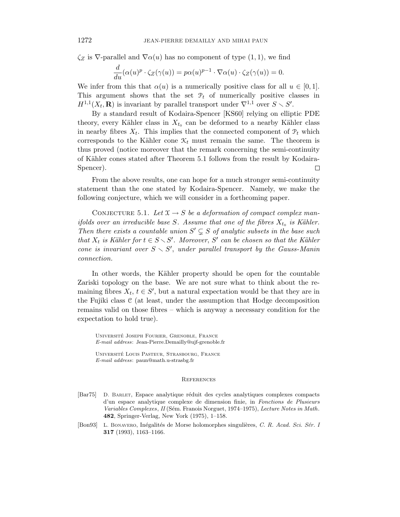$\zeta_Z$  is  $\nabla$ -parallel and  $\nabla \alpha(u)$  has no component of type  $(1, 1)$ , we find

$$
\frac{d}{du}(\alpha(u)^p \cdot \zeta_Z(\gamma(u)) = p\alpha(u)^{p-1} \cdot \nabla \alpha(u) \cdot \zeta_Z(\gamma(u)) = 0.
$$

We infer from this that  $\alpha(u)$  is a numerically positive class for all  $u \in [0,1]$ . This argument shows that the set  $P_t$  of numerically positive classes in  $H^{1,1}(X_t, \mathbf{R})$  is invariant by parallel transport under  $\nabla^{1,1}$  over  $S \setminus S'$ .

By a standard result of Kodaira-Spencer [KS60] relying on elliptic PDE theory, every Kähler class in  $X_{t_0}$  can be deformed to a nearby Kähler class in nearby fibres  $X_t$ . This implies that the connected component of  $\mathcal{P}_t$  which corresponds to the Kähler cone  $\mathcal{K}_t$  must remain the same. The theorem is thus proved (notice moreover that the remark concerning the semi-continuity of Kähler cones stated after Theorem 5.1 follows from the result by Kodaira-Spencer). □

From the above results, one can hope for a much stronger semi-continuity statement than the one stated by Kodaira-Spencer. Namely, we make the following conjecture, which we will consider in a forthcoming paper.

CONJECTURE 5.1. Let  $\mathfrak{X} \to S$  be a deformation of compact complex manifolds over an irreducible base *S*. Assume that one of the fibres  $X_{t_0}$  is Kähler. Then there exists a countable union  $S' \subsetneq S$  of analytic subsets in the base such that  $X_t$  is Kähler for  $t \in S \setminus S'$ . Moreover, S' can be chosen so that the Kähler cone is invariant over  $S \setminus S'$ , under parallel transport by the Gauss-Manin connection.

In other words, the Kähler property should be open for the countable Zariski topology on the base. We are not sure what to think about the remaining fibres  $X_t$ ,  $t \in S'$ , but a natural expectation would be that they are in the Fujiki class  $C$  (at least, under the assumption that Hodge decomposition remains valid on those fibres – which is anyway a necessary condition for the expectation to hold true).

Universite Joseph Fourier, Grenoble, France ´ *E-mail address*: Jean-Pierre.Demailly@ujf-grenoble.fr

Universite Louis Pasteur, Strasbourg, France ´ *E-mail address*: paun@math.u-strasbg.fr

#### **REFERENCES**

- [Bar75] D. BARLET, Espace analytique réduit des cycles analytiques complexes compacts d'un espace analytique complexe de dimension finie, in *Fonctions de Plusieurs Variables Complexes, II* (Sém. Franois Norguet, 1974–1975), *Lecture Notes in Math*. **482**, Springer-Verlag, New York (1975), 1–158.
- [Bon93] L. Bonavero, Inégalités de Morse holomorphes singulières, *C. R. Acad. Sci. Sér. I* **317** (1993), 1163–1166.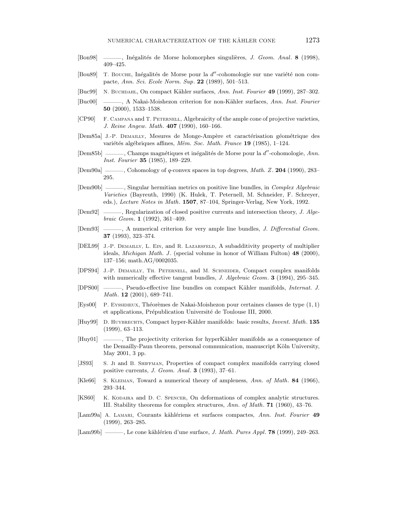- [Bon98] ——, Inégalités de Morse holomorphes singulières, *J. Geom. Anal.* **8** (1998), 409–425.
- [Bou89] T. Bouche, Inégalités de Morse pour la *d'*-cohomologie sur une variété non compacte, *Ann. Sci. Ecole Norm. Sup*. **22** (1989), 501–513.
- [Buc99] N. Buchdahl, On compact K¨ahler surfaces, *Ann. Inst. Fourier* **49** (1999), 287–302.
- [Buc00] ———, A Nakai-Moishezon criterion for non-K¨ahler surfaces, *Ann. Inst. Fourier* **50** (2000), 1533–1538.
- [CP90] F. Campana and T. Peternell, Algebraicity of the ample cone of projective varieties, *J. Reine Angew. Math*. **407** (1990), 160–166.
- [Dem85a] J.-P. DEMAILLY, Mesures de Monge-Ampère et caractérisation géométrique des variétés algébriques affines, *Mém. Soc. Math. France* 19 (1985), 1–124.
- [Dem85b] ———, Champs magnétiques et inégalités de Morse pour la *d'*-cohomologie, *Ann. Inst. Fourier* **35** (1985), 189–229.
- [Dem90a] ———, Cohomology of *q*-convex spaces in top degrees, *Math. Z*. **204** (1990), 283– 295.
- [Dem90b] ———, Singular hermitian metrics on positive line bundles, in *Complex Algebraic Varieties* (Bayreuth, 1990) (K. Hulek, T. Peternell, M. Schneider, F. Schreyer, eds.), *Lecture Notes in Math*. **1507**, 87–104, Springer-Verlag, New York, 1992.
- [Dem92] ———, Regularization of closed positive currents and intersection theory, *J. Algebraic Geom*. **1** (1992), 361–409.
- [Dem93] ———, A numerical criterion for very ample line bundles, *J. Differential Geom*. **37** (1993), 323–374.
- [DEL99] J.-P. Demailly, L. Ein, and R. Lazarsfeld, A subadditivity property of multiplier ideals, *Michigan Math. J* . (special volume in honor of William Fulton) **48** (2000), 137–156; math.AG/0002035.
- [DPS94] J.-P. Demailly, Th. Peternell, and M. Schneider, Compact complex manifolds with numerically effective tangent bundles, *J. Algebraic Geom*. **3** (1994), 295–345.
- [DPS00] ———, Pseudo-effective line bundles on compact Kähler manifolds, *Internat. J. Math*. **12** (2001), 689–741.
- [Eys00] P. Eyssidieux, Th´eor`emes de Nakai-Moishezon pour certaines classes de type (1*,* 1) et applications, Prépublication Université de Toulouse III, 2000.
- [Huy99] D. HUYBRECHTS, Compact hyper-Kähler manifolds: basic results, *Invent. Math.* 135 (1999), 63–113.
- [Huy01] ——, The projectivity criterion for hyperKähler manifolds as a consequence of the Demailly-Paun theorem, personal communication, manuscript Köln University, May 2001, 3 pp.
- [JS93] S. Ji and B. SHIFFMAN, Properties of compact complex manifolds carrying closed positive currents, *J. Geom. Anal*. **3** (1993), 37–61.
- [Kle66] S. Kleiman, Toward a numerical theory of ampleness, *Ann. of Math*. **84** (1966), 293–344.
- [KS60] K. KODAIRA and D. C. SPENCER, On deformations of complex analytic structures. III. Stability theorems for complex structures, *Ann. of Math*. **71** (1960), 43–76.
- [Lam99a] A. Lamari, Courants k¨ahl´eriens et surfaces compactes, *Ann. Inst. Fourier* **49** (1999), 263–285.
- [Lam99b] ——, Le cone kählérien d'une surface, *J. Math. Pures Appl.* **78** (1999), 249–263.